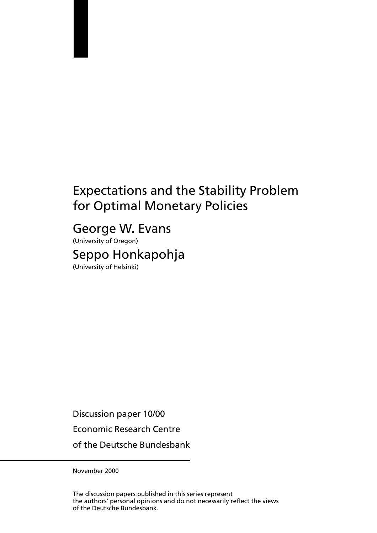# **Expectations and the Stability Problem** for Optimal Monetary Policies

# George W. Evans

(University of Oregon) Seppo Honkapohja (University of Helsinki)

Discussion paper 10/00

**Economic Research Centre** 

of the Deutsche Bundesbank

November 2000

The discussion papers published in this series represent the authors' personal opinions and do not necessarily reflect the views of the Deutsche Bundesbank.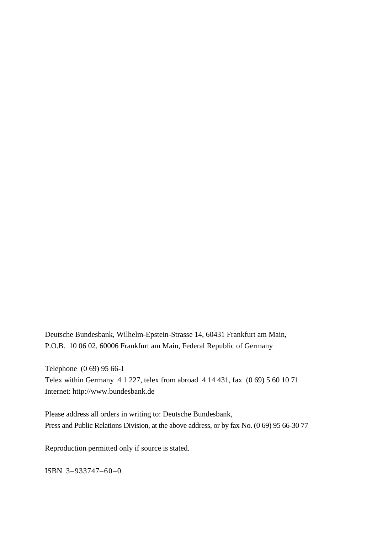Deutsche Bundesbank, Wilhelm-Epstein-Strasse 14, 60431 Frankfurt am Main, P.O.B. 10 06 02, 60006 Frankfurt am Main, Federal Republic of Germany

Telephone (0 69) 95 66-1 Telex within Germany 4 1 227, telex from abroad 4 14 431, fax (0 69) 5 60 10 71 Internet: http://www.bundesbank.de

Please address all orders in writing to: Deutsche Bundesbank, Press and Public Relations Division, at the above address, or by fax No. (0 69) 95 66-30 77

Reproduction permitted only if source is stated.

ISBN 3–933747–60–0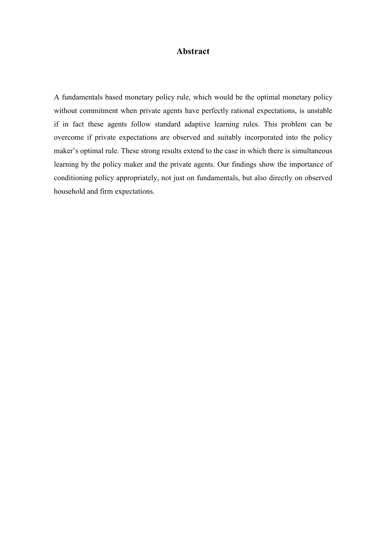### **Abstract**

A fundamentals based monetary policy rule, which would be the optimal monetary policy without commitment when private agents have perfectly rational expectations, is unstable if in fact these agents follow standard adaptive learning rules. This problem can be overcome if private expectations are observed and suitably incorporated into the policy maker's optimal rule. These strong results extend to the case in which there is simultaneous learning by the policy maker and the private agents. Our findings show the importance of conditioning policy appropriately, not just on fundamentals, but also directly on observed household and firm expectations.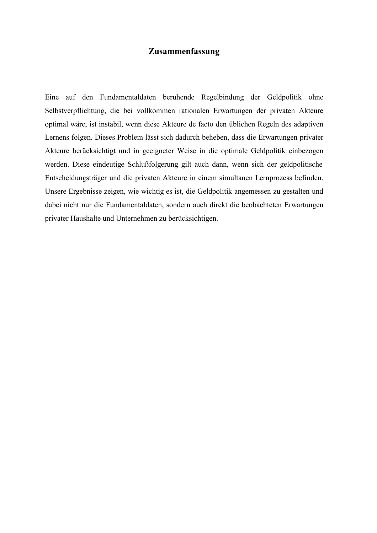## **Zusammenfassung**

Eine auf den Fundamentaldaten beruhende Regelbindung der Geldpolitik ohne Selbstverpflichtung, die bei vollkommen rationalen Erwartungen der privaten Akteure optimal wäre, ist instabil, wenn diese Akteure de facto den üblichen Regeln des adaptiven Lernens folgen. Dieses Problem lässt sich dadurch beheben, dass die Erwartungen privater Akteure berücksichtigt und in geeigneter Weise in die optimale Geldpolitik einbezogen werden. Diese eindeutige Schlußfolgerung gilt auch dann, wenn sich der geldpolitische Entscheidungsträger und die privaten Akteure in einem simultanen Lernprozess befinden. Unsere Ergebnisse zeigen, wie wichtig es ist, die Geldpolitik angemessen zu gestalten und dabei nicht nur die Fundamentaldaten, sondern auch direkt die beobachteten Erwartungen privater Haushalte und Unternehmen zu berücksichtigen.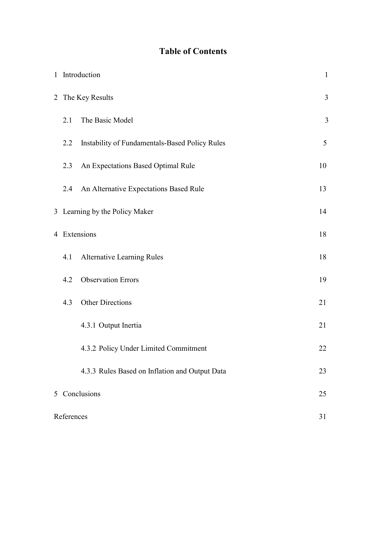## **Table of Contents**

|              | 1 Introduction |                                                |                         |  |  |  |
|--------------|----------------|------------------------------------------------|-------------------------|--|--|--|
|              |                | 2 The Key Results                              | $\overline{\mathbf{3}}$ |  |  |  |
|              | 2.1            | The Basic Model                                | 3                       |  |  |  |
|              | 2.2            | Instability of Fundamentals-Based Policy Rules | 5                       |  |  |  |
|              | 2.3            | An Expectations Based Optimal Rule             | 10                      |  |  |  |
|              | 2.4            | An Alternative Expectations Based Rule         | 13                      |  |  |  |
|              |                | 3 Learning by the Policy Maker<br>14           |                         |  |  |  |
| 4 Extensions |                |                                                |                         |  |  |  |
|              | 4.1            | <b>Alternative Learning Rules</b>              | 18                      |  |  |  |
|              | 4.2            | <b>Observation Errors</b>                      | 19                      |  |  |  |
|              | 4.3            | <b>Other Directions</b>                        | 21                      |  |  |  |
|              |                | 4.3.1 Output Inertia                           | 21                      |  |  |  |
|              |                | 4.3.2 Policy Under Limited Commitment          | 22                      |  |  |  |
|              |                | 4.3.3 Rules Based on Inflation and Output Data | 23                      |  |  |  |
|              | 5 Conclusions  |                                                |                         |  |  |  |
|              | References     |                                                |                         |  |  |  |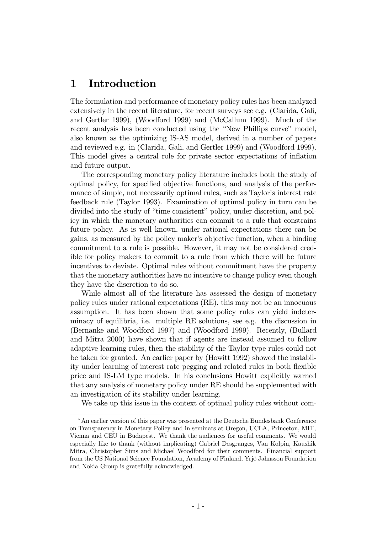## 1 Introduction

The formulation and performance of monetary policy rules has been analyzed extensively in the recent literature, for recent surveys see e.g. (Clarida, Gali, and Gertler 1999), (Woodford 1999) and (McCallum 1999). Much of the recent analysis has been conducted using the "New Phillips curve" model, also known as the optimizing IS-AS model, derived in a number of papers and reviewed e.g. in (Clarida, Gali, and Gertler 1999) and (Woodford 1999). This model gives a central role for private sector expectations of inflation and future output.

The corresponding monetary policy literature includes both the study of optimal policy, for specified objective functions, and analysis of the performance of simple, not necessarily optimal rules, such as Taylor's interest rate feedback rule (Taylor 1993). Examination of optimal policy in turn can be divided into the study of "time consistent" policy, under discretion, and polliq is verified which the monetary authorities can commit to a rule that constrains future policy. As is well known, under rational expectations there can be gains, as measured by the policy maker's objective function, when a binding commitment to a rule is possible. However, it may not be considered credible for policy makers to commit to a rule from which there will be future incentives to deviate. Optimal rules without commitment have the property that the monetary authorities have no incentive to change policy even though they have the discretion to do so.

While almost all of the literature has assessed the design of monetary policy rules under rational expectations (RE), this may not be an innocuous assumption. It has been shown that some policy rules can yield indeterminacy of equilibria, i.e. multiple RE solutions, see e.g. the discussion in (Bernanke and Woodford 1997) and (Woodford 1999). Recently, (Bullard and Mitra 2000) have shown that if agents are instead assumed to follow adaptive learning rules, then the stability of the Taylor-type rules could not be taken for granted. An earlier paper by (Howitt 1992) showed the instability under learning of interest rate pegging and related rules in both flexible price and IS-LM type models. In his conclusions Howitt explicitly warned that any analysis of monetary policy under RE should be supplemented with an investigation of its stability under learning.

We take up this issue in the context of optimal policy rules without com-

<sup>\*</sup> An earlier version of this paper was presented at the Deutsche Bundesbank Conference on Transparency in Monetary Policy and in seminars at Oregon, UCLA, Princeton, MIT, Vienna and CEU in Budapest. We thank the audiences for useful comments. We would especially like to thank (without implicating) Gabriel Desgranges, Van Kolpin, Kaushik Mitra, Christopher Sims and Michael Woodford for their comments. Financial support from the US National Science Foundation, Academy of Finland, Yrjö Jahnsson Foundation and Nokia Group is gratefully acknowledged.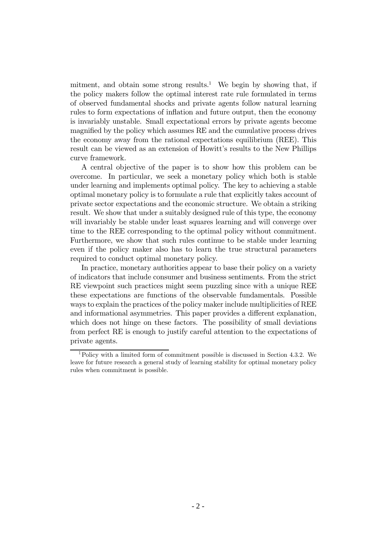mitment, and obtain some strong results.<sup>1</sup> We begin by showing that, if the policy makers follow the optimal interest rate rule formulated in terms of observed fundamental shocks and private agents follow natural learning rules to form expectations of inflation and future output, then the economy is invariably unstable. Small expectational errors by private agents become magnified by the policy which assumes RE and the cumulative process drives the economy away from the rational expectations equilibrium (REE). This result can be viewed as an extension of Howitt's results to the New Phillips curve framework.

A central objective of the paper is to show how this problem can be overcome. In particular, we seek a monetary policy which both is stable under learning and implements optimal policy. The key to achieving a stable optimal monetary policy is to formulate a rule that explicitly takes account of private sector expectations and the economic structure. We obtain a striking result. We show that under a suitably designed rule of this type, the economy will invariably be stable under least squares learning and will converge over time to the REE corresponding to the optimal policy without commitment. Furthermore, we show that such rules continue to be stable under learning even if the policy maker also has to learn the true structural parameters required to conduct optimal monetary policy.

In practice, monetary authorities appear to base their policy on a variety of indicators that include consumer and business sentiments. From the strict RE viewpoint such practices might seem puzzling since with a unique REE these expectations are functions of the observable fundamentals. Possible ways to explain the practices of the policy maker include multiplicities of REE and informational asymmetries. This paper provides a different explanation, which does not hinge on these factors. The possibility of small deviations from perfect RE is enough to justify careful attention to the expectations of private agents.

<sup>&</sup>lt;sup>1</sup>Policy with a limited form of commitment possible is discussed in Section 4.3.2. We leave for future research a general study of learning stability for optimal monetary policy rules when commitment is possible.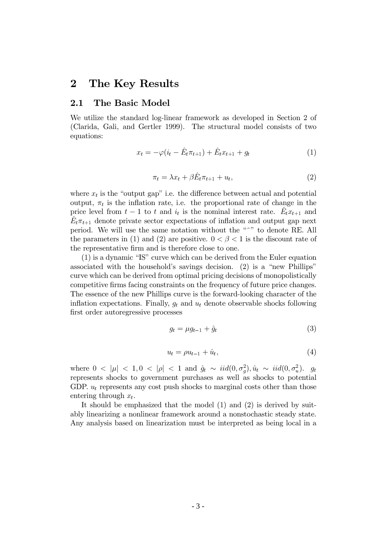## 2 The Key Results

### 2.1 The Basic Model

We utilize the standard log-linear framework as developed in Section 2 of (Clarida, Gali, and Gertler 1999). The structural model consists of two equations:

$$
x_t = -\varphi(i_t - \hat{E}_t \pi_{t+1}) + \hat{E}_t x_{t+1} + g_t \tag{1}
$$

$$
\pi_t = \lambda x_t + \beta \hat{E}_t \pi_{t+1} + u_t,\tag{2}
$$

where  $x_t$  is the "output gap" i.e. the difference between actual and potential output,  $\pi_t$  is the inflation rate, i.e. the proportional rate of change in the price level from  $t-1$  to t and  $i_t$  is the nominal interest rate.  $\ddot{E}_t x_{t+1}$  and  $E_t \pi_{t+1}$  denote private sector expectations of inflation and output gap next period. We will use the same notation without the "<sup>"</sup>" to denote RE. All the parameters in (1) and (2) are positive.  $0 < \beta < 1$  is the discount rate of the representative firm and is therefore close to one.

 $(1)$  is a dynamic "IS" curve which can be derived from the Euler equation associated with the household's savings decision. (2) is a "new Phillips" following a general end general pricing decisions of monopolistically curve which can be derived from optimal pricing decisions of monopolistically competitive firms facing constraints on the frequency of future price changes. The essence of the new Phillips curve is the forward-looking character of the inflation expectations. Finally,  $q_t$  and  $u_t$  denote observable shocks following first order autoregressive processes

$$
g_t = \mu g_{t-1} + \hat{g}_t \tag{3}
$$

$$
u_t = \rho u_{t-1} + \hat{u}_t, \tag{4}
$$

where  $0 < |\mu| < 1, 0 < |\rho| < 1$  and  $\hat{g}_t \sim \text{iid}(0, \sigma_g^2), \hat{u}_t \sim \text{iid}(0, \sigma_u^2)$ .  $g_t$ represents shocks to government purchases as well as shocks to potential GDP.  $u_t$  represents any cost push shocks to marginal costs other than those entering through  $x_t$ .

It should be emphasized that the model  $(1)$  and  $(2)$  is derived by suitably linearizing a nonlinear framework around a nonstochastic steady state. Any analysis based on linearization must be interpreted as being local in a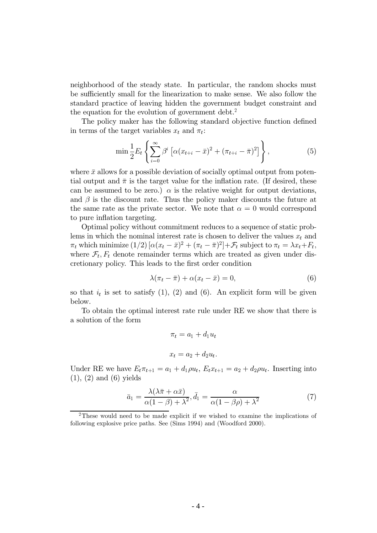neighborhood of the steady state. In particular, the random shocks must be sufficiently small for the linearization to make sense. We also follow the standard practice of leaving hidden the government budget constraint and the equation for the evolution of government debt.<sup>2</sup>

The policy maker has the following standard objective function defined in terms of the target variables  $x_t$  and  $\pi_t$ :

$$
\min \frac{1}{2} E_t \left\{ \sum_{i=0}^{\infty} \beta^i \left[ \alpha (x_{t+i} - \bar{x})^2 + (\pi_{t+i} - \bar{\pi})^2 \right] \right\},
$$
\n(5)

where  $\bar{x}$  allows for a possible deviation of socially optimal output from potential output and  $\bar{\pi}$  is the target value for the inflation rate. (If desired, these can be assumed to be zero.)  $\alpha$  is the relative weight for output deviations, and  $\beta$  is the discount rate. Thus the policy maker discounts the future at the same rate as the private sector. We note that  $\alpha = 0$  would correspond to pure inflation targeting.

Optimal policy without commitment reduces to a sequence of static problems in which the nominal interest rate is chosen to deliver the values  $x_t$  and  $\pi_t$  which minimize  $(1/2) [\alpha(x_t - \bar{x})^2 + (\pi_t - \bar{\pi})^2] + \mathcal{F}_t$  subject to  $\pi_t = \lambda x_t + F_t$ , where  $\mathcal{F}_t$ ,  $F_t$  denote remainder terms which are treated as given under discretionary policy. This leads to the first order condition

$$
\lambda(\pi_t - \bar{\pi}) + \alpha(x_t - \bar{x}) = 0,\tag{6}
$$

so that  $i_t$  is set to satisfy (1), (2) and (6). An explicit form will be given below.

To obtain the optimal interest rate rule under RE we show that there is a solution of the form

$$
\pi_t = a_1 + d_1 u_t
$$

$$
x_t = a_2 + d_2 u_t.
$$

Under RE we have  $E_t \pi_{t+1} = a_1 + d_1 \rho u_t$ ,  $E_t x_{t+1} = a_2 + d_2 \rho u_t$ . Inserting into  $(1), (2)$  and  $(6)$  yields

$$
\bar{a}_1 = \frac{\lambda(\lambda \bar{\pi} + \alpha \bar{x})}{\alpha(1 - \beta) + \lambda^2}, \bar{d}_1 = \frac{\alpha}{\alpha(1 - \beta \rho) + \lambda^2} \tag{7}
$$

<sup>&</sup>lt;sup>2</sup>These would need to be made explicit if we wished to examine the implications of following explosive price paths. See (Sims 1994) and (Woodford 2000).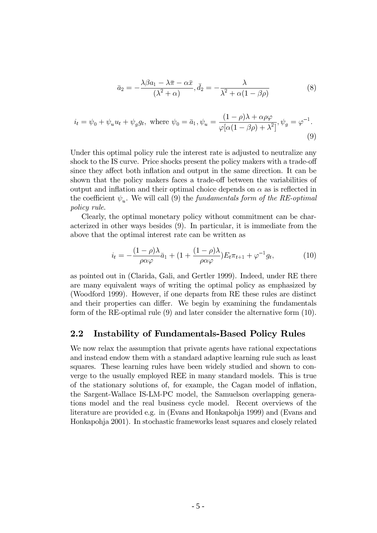$$
\bar{a}_2 = -\frac{\lambda \beta a_1 - \lambda \bar{\pi} - \alpha \bar{x}}{(\lambda^2 + \alpha)}, \bar{d}_2 = -\frac{\lambda}{\lambda^2 + \alpha(1 - \beta \rho)}
$$
(8)

$$
i_t = \psi_0 + \psi_u u_t + \psi_g g_t, \text{ where } \psi_0 = \bar{a}_1, \psi_u = \frac{(1 - \rho)\lambda + \alpha \rho \varphi}{\varphi[\alpha(1 - \beta \rho) + \lambda^2]}, \psi_g = \varphi^{-1}.
$$
\n(9)

Under this optimal policy rule the interest rate is adjusted to neutralize any shock to the IS curve. Price shocks present the policy makers with a trade-off since they affect both inflation and output in the same direction. It can be shown that the policy makers faces a trade-off between the variabilities of output and inflation and their optimal choice depends on  $\alpha$  as is reflected in the coefficient  $\psi_u$ . We will call (9) the fundamentals form of the RE-optimal *policy rule.* 

Clearly, the optimal monetary policy without commitment can be characterized in other ways besides (9). In particular, it is immediate from the above that the optimal interest rate can be written as

$$
i_t = -\frac{(1-\rho)\lambda}{\rho\alpha\varphi}\bar{a}_1 + (1+\frac{(1-\rho)\lambda}{\rho\alpha\varphi})E_t\pi_{t+1} + \varphi^{-1}g_t,\tag{10}
$$

as pointed out in (Clarida, Gali, and Gertler 1999). Indeed, under RE there are many equivalent ways of writing the optimal policy as emphasized by (Woodford 1999). However, if one departs from RE these rules are distinct and their properties can differ. We begin by examining the fundamentals form of the RE-optimal rule  $(9)$  and later consider the alternative form  $(10)$ .

#### $2.2\,$ Instability of Fundamentals-Based Policy Rules

We now relax the assumption that private agents have rational expectations and instead endow them with a standard adaptive learning rule such as least squares. These learning rules have been widely studied and shown to converge to the usually employed REE in many standard models. This is true of the stationary solutions of, for example, the Cagan model of inflation, the Sargent-Wallace IS-LM-PC model, the Samuelson overlapping generations model and the real business cycle model. Recent overviews of the literature are provided e.g. in (Evans and Honkapohja 1999) and (Evans and Honkapohja 2001). In stochastic frameworks least squares and closely related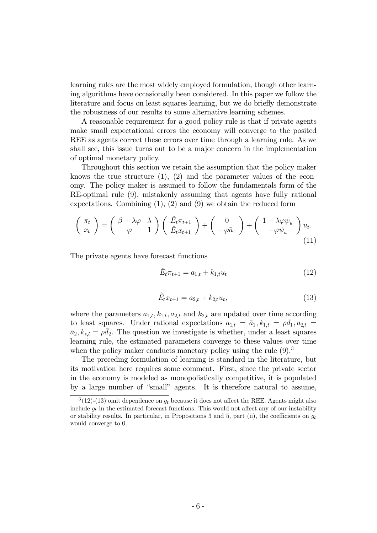learning rules are the most widely employed formulation, though other learning algorithms have occasionally been considered. In this paper we follow the literature and focus on least squares learning, but we do briefly demonstrate the robustness of our results to some alternative learning schemes.

A reasonable requirement for a good policy rule is that if private agents make small expectational errors the economy will converge to the posited REE as agents correct these errors over time through a learning rule. As we shall see, this issue turns out to be a major concern in the implementation of optimal monetary policy.

Throughout this section we retain the assumption that the policy maker knows the true structure  $(1)$ ,  $(2)$  and the parameter values of the economy. The policy maker is assumed to follow the fundamentals form of the RE-optimal rule (9), mistakenly assuming that agents have fully rational expectations. Combining  $(1)$ ,  $(2)$  and  $(9)$  we obtain the reduced form

$$
\begin{pmatrix} \pi_t \\ x_t \end{pmatrix} = \begin{pmatrix} \beta + \lambda \varphi & \lambda \\ \varphi & 1 \end{pmatrix} \begin{pmatrix} \hat{E}_t \pi_{t+1} \\ \hat{E}_t x_{t+1} \end{pmatrix} + \begin{pmatrix} 0 \\ -\varphi \bar{a}_1 \end{pmatrix} + \begin{pmatrix} 1 - \lambda \varphi \psi_u \\ -\varphi \psi_u \end{pmatrix} u_t.
$$
\n(11)

The private agents have forecast functions

$$
\hat{E}_t \pi_{t+1} = a_{1,t} + k_{1,t} u_t \tag{12}
$$

$$
\hat{E}_t x_{t+1} = a_{2,t} + k_{2,t} u_t, \tag{13}
$$

where the parameters  $a_{1,t}$ ,  $k_{1,t}$ ,  $a_{2,t}$  and  $k_{2,t}$  are updated over time according to least squares. Under rational expectations  $a_{1,t} = \bar{a}_1, k_{1,t} = \rho \bar{d}_1, a_{2,t} =$  $\bar{a}_2, k_{s,t} = \rho \bar{d}_2$ . The question we investigate is whether, under a least squares learning rule, the estimated parameters converge to these values over time when the policy maker conducts monetary policy using the rule  $(9)^3$ 

The preceding formulation of learning is standard in the literature, but its motivation here requires some comment. First, since the private sector in the economy is modeled as monopolistically competitive, it is populated by a large number of "small" agents. It is therefore natural to assume,

 $3(12)-(13)$  omit dependence on  $g_t$  because it does not affect the REE. Agents might also include  $q_t$  in the estimated forecast functions. This would not affect any of our instability or stability results. In particular, in Propositions 3 and 5, part (ii), the coefficients on  $g_t$ would converge to 0.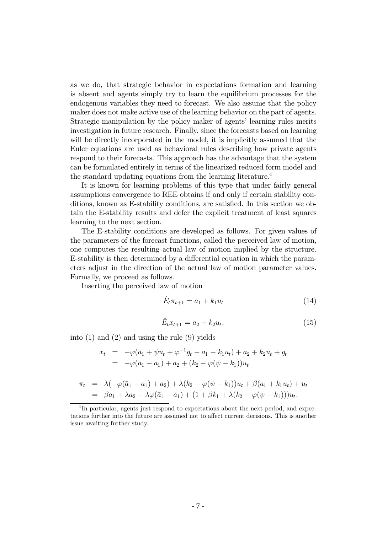as we do, that strategic behavior in expectations formation and learning is absent and agents simply try to learn the equilibrium processes for the endogenous variables they need to forecast. We also assume that the policy maker does not make active use of the learning behavior on the part of agents. Strategic manipulation by the policy maker of agents' learning rules merits investigation in future research. Finally, since the forecasts based on learning will be directly incorporated in the model, it is implicitly assumed that the Euler equations are used as behavioral rules describing how private agents respond to their forecasts. This approach has the advantage that the system can be formulated entirely in terms of the linearized reduced form model and the standard updating equations from the learning literature.<sup>4</sup>

It is known for learning problems of this type that under fairly general assumptions convergence to REE obtains if and only if certain stability conditions, known as E-stability conditions, are satisfied. In this section we obtain the E-stability results and defer the explicit treatment of least squares learning to the next section.

The E-stability conditions are developed as follows. For given values of the parameters of the forecast functions, called the perceived law of motion, one computes the resulting actual law of motion implied by the structure. E-stability is then determined by a differential equation in which the parameters adjust in the direction of the actual law of motion parameter values. Formally, we proceed as follows.

Inserting the perceived law of motion

$$
\hat{E}_t \pi_{t+1} = a_1 + k_1 u_t \tag{14}
$$

$$
\hat{E}_t x_{t+1} = a_2 + k_2 u_t, \tag{15}
$$

into (1) and (2) and using the rule (9) yields

$$
x_t = -\varphi(\bar{a}_1 + \psi u_t + \varphi^{-1} g_t - a_1 - k_1 u_t) + a_2 + k_2 u_t + g_t
$$
  
= 
$$
-\varphi(\bar{a}_1 - a_1) + a_2 + (k_2 - \varphi(\psi - k_1))u_t
$$

$$
\pi_t = \lambda(-\varphi(\bar{a}_1 - a_1) + a_2) + \lambda(k_2 - \varphi(\psi - k_1))u_t + \beta(a_1 + k_1u_t) + u_t \n= \beta a_1 + \lambda a_2 - \lambda \varphi(\bar{a}_1 - a_1) + (1 + \beta k_1 + \lambda(k_2 - \varphi(\psi - k_1)))u_t.
$$

 $4$ In particular, agents just respond to expectations about the next period, and expectations further into the future are assumed not to affect current decisions. This is another issue awaiting further study.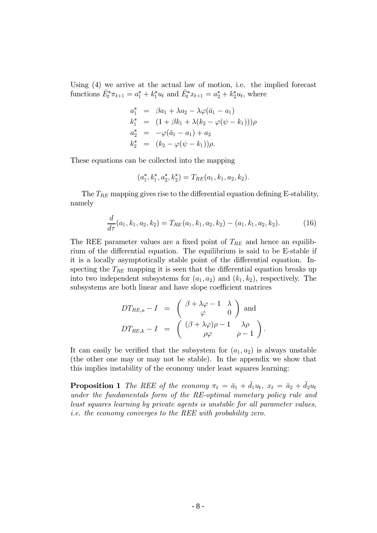Using  $(4)$  we arrive at the actual law of motion, i.e. the implied forecast functions  $\hat{E}_t^* \pi_{t+1} = a_1^* + k_1^* u_t$  and  $\hat{E}_t^* x_{t+1} = a_2^* + k_2^* u_t$ , where

$$
a_1^* = \beta a_1 + \lambda a_2 - \lambda \varphi (\bar{a}_1 - a_1)
$$
  
\n
$$
k_1^* = (1 + \beta k_1 + \lambda (k_2 - \varphi (\psi - k_1))) \rho
$$
  
\n
$$
a_2^* = -\varphi (\bar{a}_1 - a_1) + a_2
$$
  
\n
$$
k_2^* = (k_2 - \varphi (\psi - k_1)) \rho.
$$

These equations can be collected into the mapping

$$
(a_1^{\ast},k_1^{\ast},a_2^{\ast},k_2^{\ast})=T_{RE}(a_1,k_1,a_2,k_2).
$$

The  $T_{RE}$  mapping gives rise to the differential equation defining E-stability, namely

$$
\frac{d}{d\tau}(a_1, k_1, a_2, k_2) = T_{RE}(a_1, k_1, a_2, k_2) - (a_1, k_1, a_2, k_2). \tag{16}
$$

The REE parameter values are a fixed point of  $T_{RE}$  and hence an equilibrium of the differential equation. The equilibrium is said to be E-stable if it is a locally asymptotically stable point of the differential equation. Inspecting the  $T_{RE}$  mapping it is seen that the differential equation breaks up into two independent subsystems for  $(a_1, a_2)$  and  $(k_1, k_2)$ , respectively. The subsystems are both linear and have slope coefficient matrices

$$
DT_{RE,a} - I = \begin{pmatrix} \beta + \lambda \varphi - 1 & \lambda \\ \varphi & 0 \end{pmatrix}
$$
 and  

$$
DT_{RE,k} - I = \begin{pmatrix} (\beta + \lambda \varphi)\rho - 1 & \lambda \rho \\ \rho \varphi & \rho - 1 \end{pmatrix}.
$$

It can easily be verified that the subsystem for  $(a_1, a_2)$  is always unstable (the other one may or may not be stable). In the appendix we show that this implies instability of the economy under least squares learning:

**Proposition 1** The REE of the economy  $\pi_t = \bar{a}_1 + \bar{d}_1 u_t$ ,  $x_t = \bar{a}_2 + \bar{d}_2 u_t$ under the fundamentals form of the RE-optimal monetary policy rule and least squares learning by private agents is unstable for all parameter values, *i.e.* the economy converges to the REE with probability zero.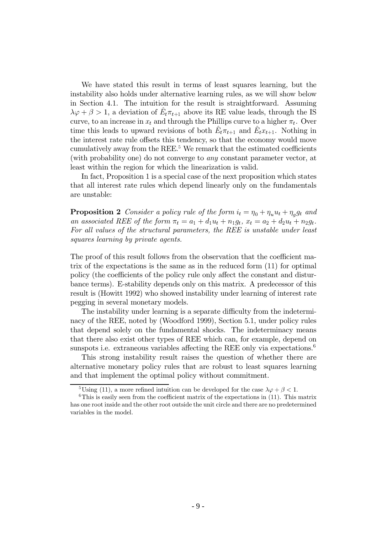We have stated this result in terms of least squares learning, but the instability also holds under alternative learning rules, as we will show below in Section 4.1. The intuition for the result is straightforward. Assuming  $\lambda \varphi + \beta > 1$ , a deviation of  $E_t \pi_{t+1}$  above its RE value leads, through the IS curve, to an increase in  $x_t$  and through the Phillips curve to a higher  $\pi_t$ . Over time this leads to upward revisions of both  $E_t \pi_{t+1}$  and  $E_t x_{t+1}$ . Nothing in the interest rate rule offsets this tendency, so that the economy would move cumulatively away from the REE.<sup>5</sup> We remark that the estimated coefficients (with probability one) do not converge to *any* constant parameter vector, at least within the region for which the linearization is valid.

In fact, Proposition 1 is a special case of the next proposition which states that all interest rate rules which depend linearly only on the fundamentals are unstable:

**Proposition 2** Consider a policy rule of the form  $i_t = \eta_0 + \eta_u u_t + \eta_a g_t$  and an associated REE of the form  $\pi_t = a_1 + d_1 u_t + n_1 g_t$ ,  $x_t = a_2 + d_2 u_t + n_2 g_t$ . For all values of the structural parameters, the REE is unstable under least squares learning by private agents.

The proof of this result follows from the observation that the coefficient matrix of the expectations is the same as in the reduced form  $(11)$  for optimal policy (the coefficients of the policy rule only affect the constant and disturbance terms). E-stability depends only on this matrix. A predecessor of this result is (Howitt 1992) who showed instability under learning of interest rate pegging in several monetary models.

The instability under learning is a separate difficulty from the indeterminacy of the REE, noted by (Woodford 1999), Section 5.1, under policy rules that depend solely on the fundamental shocks. The indeterminacy means that there also exist other types of REE which can, for example, depend on sunspots i.e. extraneous variables affecting the REE only via expectations.<sup>6</sup>

This strong instability result raises the question of whether there are alternative monetary policy rules that are robust to least squares learning and that implement the optimal policy without commitment.

<sup>&</sup>lt;sup>5</sup>Using (11), a more refined intuition can be developed for the case  $\lambda \varphi + \beta < 1$ .

 ${}^{6}$ This is easily seen from the coefficient matrix of the expectations in (11). This matrix has one root inside and the other root outside the unit circle and there are no predetermined variables in the model.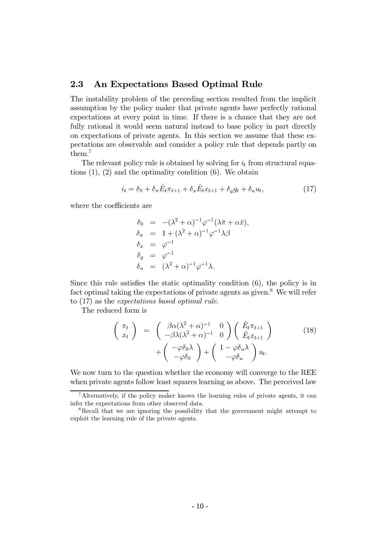#### 2.3 An Expectations Based Optimal Rule

The instability problem of the preceding section resulted from the implicit assumption by the policy maker that private agents have perfectly rational expectations at every point in time. If there is a chance that they are not fully rational it would seem natural instead to base policy in part directly on expectations of private agents. In this section we assume that these expectations are observable and consider a policy rule that depends partly on them. $<sup>7</sup>$ </sup>

The relevant policy rule is obtained by solving for  $i_t$  from structural equations  $(1)$ ,  $(2)$  and the optimality condition  $(6)$ . We obtain

$$
i_t = \delta_0 + \delta_\pi \hat{E}_t \pi_{t+1} + \delta_x \hat{E}_t x_{t+1} + \delta_g g_t + \delta_u u_t, \tag{17}
$$

where the coefficients are

$$
\delta_0 = -(\lambda^2 + \alpha)^{-1} \varphi^{-1} (\lambda \overline{\pi} + \alpha \overline{x}),
$$
  
\n
$$
\delta_{\pi} = 1 + (\lambda^2 + \alpha)^{-1} \varphi^{-1} \lambda \beta
$$
  
\n
$$
\delta_x = \varphi^{-1}
$$
  
\n
$$
\delta_g = \varphi^{-1}
$$
  
\n
$$
\delta_u = (\lambda^2 + \alpha)^{-1} \varphi^{-1} \lambda.
$$

Since this rule satisfies the static optimality condition  $(6)$ , the policy is in fact optimal taking the expectations of private agents as given.<sup>8</sup> We will refer to  $(17)$  as the *expectations based optimal rule*.

The reduced form is

$$
\begin{pmatrix}\n\pi_t \\
x_t\n\end{pmatrix} = \begin{pmatrix}\n\beta \alpha (\lambda^2 + \alpha)^{-1} & 0 \\
-\beta \lambda (\lambda^2 + \alpha)^{-1} & 0\n\end{pmatrix} \begin{pmatrix}\n\hat{E}_t \pi_{t+1} \\
\hat{E}_t x_{t+1}\n\end{pmatrix} + \begin{pmatrix}\n-\varphi \delta_0 \lambda \\
-\varphi \delta_0\n\end{pmatrix} + \begin{pmatrix}\n1 - \varphi \delta_u \lambda \\
-\varphi \delta_u\n\end{pmatrix} u_t.
$$
\n(18)

We now turn to the question whether the economy will converge to the REE when private agents follow least squares learning as above. The perceived law

 $^7$ Alternatively, if the policy maker knows the learning rules of private agents, it can infer the expectations from other observed data.

<sup>&</sup>lt;sup>8</sup>Recall that we are ignoring the possibility that the government might attempt to exploit the learning rule of the private agents.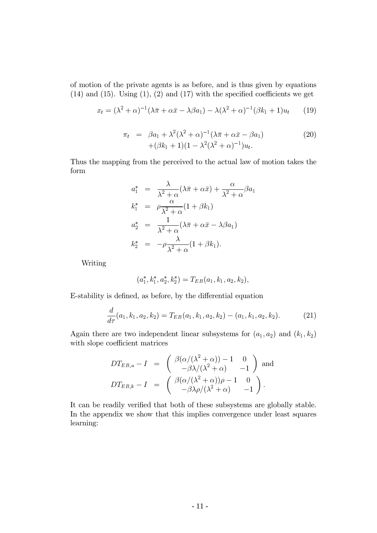of motion of the private agents is as before, and is thus given by equations  $(14)$  and  $(15)$ . Using  $(1)$ ,  $(2)$  and  $(17)$  with the specified coefficients we get

$$
x_t = (\lambda^2 + \alpha)^{-1}(\lambda \bar{\pi} + \alpha \bar{x} - \lambda \beta a_1) - \lambda(\lambda^2 + \alpha)^{-1}(\beta k_1 + 1)u_t \qquad (19)
$$

$$
\pi_t = \beta a_1 + \lambda^2 (\lambda^2 + \alpha)^{-1} (\lambda \bar{\pi} + \alpha \bar{x} - \beta a_1) + (\beta k_1 + 1)(1 - \lambda^2 (\lambda^2 + \alpha)^{-1}) u_t.
$$
\n(20)

Thus the mapping from the perceived to the actual law of motion takes the form

$$
a_1^* = \frac{\lambda}{\lambda^2 + \alpha} (\lambda \overline{\pi} + \alpha \overline{x}) + \frac{\alpha}{\lambda^2 + \alpha} \beta a_1
$$
  
\n
$$
k_1^* = \rho \frac{\alpha}{\lambda^2 + \alpha} (1 + \beta k_1)
$$
  
\n
$$
a_2^* = \frac{1}{\lambda^2 + \alpha} (\lambda \overline{\pi} + \alpha \overline{x} - \lambda \beta a_1)
$$
  
\n
$$
k_2^* = -\rho \frac{\lambda}{\lambda^2 + \alpha} (1 + \beta k_1).
$$

Writing

$$
(a_1^*,k_1^*,a_2^*,k_2^*)=T_{EB}(a_1,k_1,a_2,k_2),\\
$$

E-stability is defined, as before, by the differential equation

$$
\frac{d}{d\tau}(a_1, k_1, a_2, k_2) = T_{EB}(a_1, k_1, a_2, k_2) - (a_1, k_1, a_2, k_2).
$$
 (21)

Again there are two independent linear subsystems for  $(a_1, a_2)$  and  $(k_1, k_2)$ with slope coefficient matrices

$$
DT_{EB,a} - I = \begin{pmatrix} \beta(\alpha/(\lambda^2 + \alpha)) - 1 & 0 \\ -\beta\lambda/(\lambda^2 + \alpha) & -1 \end{pmatrix}
$$
 and  

$$
DT_{EB,k} - I = \begin{pmatrix} \beta(\alpha/(\lambda^2 + \alpha))\rho - 1 & 0 \\ -\beta\lambda\rho/(\lambda^2 + \alpha) & -1 \end{pmatrix}.
$$

It can be readily verified that both of these subsystems are globally stable. In the appendix we show that this implies convergence under least squares learning: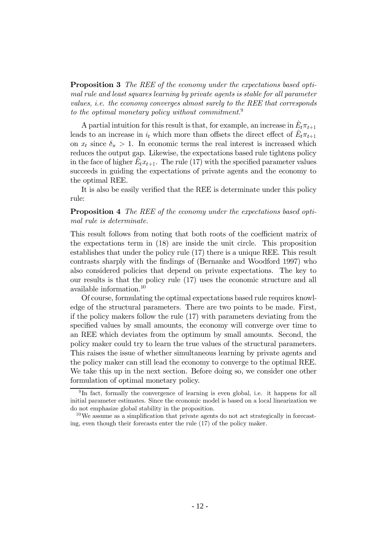**Proposition 3** The REE of the economy under the expectations based optipdo mal rule and least squares learning by private agents is stable for all parameter values, i.e. the economy converges almost surely to the REE that corresponds to the optimal monetary policy without commitment.<sup>9</sup>

A partial intuition for this result is that, for example, an increase in  $\hat{E}_t \pi_{t+1}$ leads to an increase in  $i_t$  which more than offsets the direct effect of  $\hat{E}_t \pi_{t+1}$ on  $x_t$  since  $\delta_{\pi} > 1$ . In economic terms the real interest is increased which reduces the output gap. Likewise, the expectations based rule tightens policy in the face of higher  $E_t x_{t+1}$ . The rule (17) with the specified parameter values succeeds in guiding the expectations of private agents and the economy to the optimal REE.

It is also be easily verified that the REE is determinate under this policy rule:

### **Proposition 4** The REE of the economy under the expectations based optimal rule is determinate.

This result follows from noting that both roots of the coefficient matrix of the expectations term in  $(18)$  are inside the unit circle. This proposition establishes that under the policy rule  $(17)$  there is a unique REE. This result contrasts sharply with the findings of (Bernanke and Woodford 1997) who also considered policies that depend on private expectations. The key to our results is that the policy rule  $(17)$  uses the economic structure and all available information. $10$ 

Of course, formulating the optimal expectations based rule requires knowledge of the structural parameters. There are two points to be made. First, if the policy makers follow the rule  $(17)$  with parameters deviating from the specified values by small amounts, the economy will converge over time to an REE which deviates from the optimum by small amounts. Second, the policy maker could try to learn the true values of the structural parameters. This raises the issue of whether simultaneous learning by private agents and the policy maker can still lead the economy to converge to the optimal REE. We take this up in the next section. Before doing so, we consider one other formulation of optimal monetary policy.

<sup>&</sup>lt;sup>9</sup>In fact, formally the convergence of learning is even global, i.e. it happens for all initial parameter estimates. Since the economic model is based on a local linearization we do not emphasize global stability in the proposition.

<sup>&</sup>lt;sup>10</sup>We assume as a simplification that private agents do not act strategically in forecasting, even though their forecasts enter the rule  $(17)$  of the policy maker.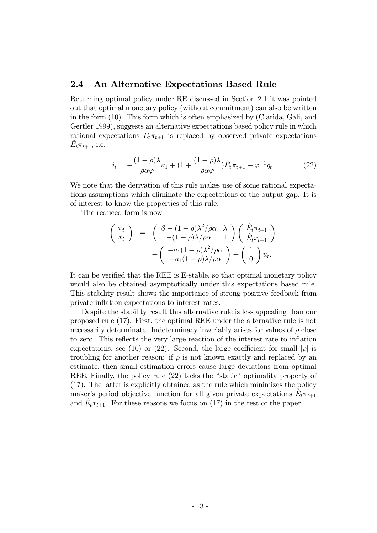### 2.4 An Alternative Expectations Based Rule

Returning optimal policy under RE discussed in Section 2.1 it was pointed out that optimal monetary policy (without commitment) can also be written in the form  $(10)$ . This form which is often emphasized by (Clarida, Gali, and Gertler 1999), suggests an alternative expectations based policy rule in which rational expectations  $E_t \pi_{t+1}$  is replaced by observed private expectations  $E_t \pi_{t+1}$ , i.e.

$$
i_t = -\frac{(1-\rho)\lambda}{\rho\alpha\varphi}\bar{a}_1 + (1+\frac{(1-\rho)\lambda}{\rho\alpha\varphi})\hat{E}_t\pi_{t+1} + \varphi^{-1}g_t.
$$
 (22)

We note that the derivation of this rule makes use of some rational expectations assumptions which eliminate the expectations of the output gap. It is of interest to know the properties of this rule.

The reduced form is now

$$
\begin{pmatrix}\n\pi_t \\
x_t\n\end{pmatrix} = \begin{pmatrix}\n\beta - (1 - \rho)\lambda^2/\rho\alpha & \lambda \\
-(1 - \rho)\lambda/\rho\alpha & 1\n\end{pmatrix} \begin{pmatrix}\n\hat{E}_t \pi_{t+1} \\
\hat{E}_t x_{t+1}\n\end{pmatrix} + \begin{pmatrix}\n-\bar{a}_1(1 - \rho)\lambda^2/\rho\alpha \\
-\bar{a}_1(1 - \rho)\lambda/\rho\alpha\n\end{pmatrix} + \begin{pmatrix}\n1 \\
0\n\end{pmatrix} u_t.
$$

It can be verified that the REE is E-stable, so that optimal monetary policy would also be obtained asymptotically under this expectations based rule. This stability result shows the importance of strong positive feedback from private inflation expectations to interest rates.

Despite the stability result this alternative rule is less appealing than our proposed rule (17). First, the optimal REE under the alternative rule is not necessarily determinate. Indeterminacy invariably arises for values of  $\rho$  close to zero. This reflects the very large reaction of the interest rate to inflation expectations, see (10) or (22). Second, the large coefficient for small  $|\rho|$  is troubling for another reason: if  $\rho$  is not known exactly and replaced by an estimate, then small estimation errors cause large deviations from optimal REE. Finally, the policy rule  $(22)$  lacks the "static" optimality property of  $(17)$ . The latter is explicitly obtained as the rule which minimizes the policy maker's period objective function for all given private expectations  $E_t \pi_{t+1}$ and  $E_t x_{t+1}$ . For these reasons we focus on (17) in the rest of the paper.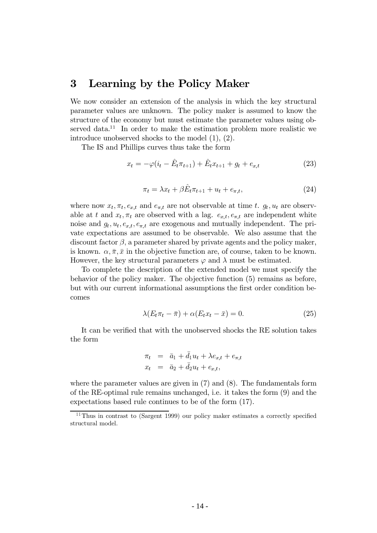#### 3 Learning by the Policy Maker

We now consider an extension of the analysis in which the key structural parameter values are unknown. The policy maker is assumed to know the structure of the economy but must estimate the parameter values using observed data.<sup>11</sup> In order to make the estimation problem more realistic we introduce unobserved shocks to the model  $(1)$ ,  $(2)$ .

The IS and Phillips curves thus take the form

$$
x_t = -\varphi(i_t - \hat{E}_t \pi_{t+1}) + \hat{E}_t x_{t+1} + g_t + e_{x,t}
$$
\n(23)

$$
\pi_t = \lambda x_t + \beta E_t \pi_{t+1} + u_t + e_{\pi,t},\tag{24}
$$

where now  $x_t, \pi_t, e_{x,t}$  and  $e_{\pi,t}$  are not observable at time t.  $g_t, u_t$  are observable at t and  $x_t, \pi_t$  are observed with a lag.  $e_{x,t}, e_{\pi,t}$  are independent white noise and  $g_t, u_t, e_{x,t}, e_{\pi,t}$  are exogenous and mutually independent. The private expectations are assumed to be observable. We also assume that the discount factor  $\beta$ , a parameter shared by private agents and the policy maker, is known.  $\alpha, \overline{\pi}, \overline{x}$  in the objective function are, of course, taken to be known. However, the key structural parameters  $\varphi$  and  $\lambda$  must be estimated.

To complete the description of the extended model we must specify the behavior of the policy maker. The objective function (5) remains as before, but with our current informational assumptions the first order condition becomes

$$
\lambda(E_t \pi_t - \bar{\pi}) + \alpha(E_t x_t - \bar{x}) = 0.
$$
\n(25)

It can be verified that with the unobserved shocks the RE solution takes the form

$$
\begin{aligned}\n\pi_t &= \bar{a}_1 + d_1 u_t + \lambda e_{x,t} + e_{\pi,t} \\
x_t &= \bar{a}_2 + \bar{d}_2 u_t + e_{x,t},\n\end{aligned}
$$

where the parameter values are given in  $(7)$  and  $(8)$ . The fundamentals form of the RE-optimal rule remains unchanged, i.e. it takes the form (9) and the expectations based rule continues to be of the form (17).

<sup>&</sup>lt;sup>11</sup>Thus in contrast to (Sargent 1999) our policy maker estimates a correctly specified structural model.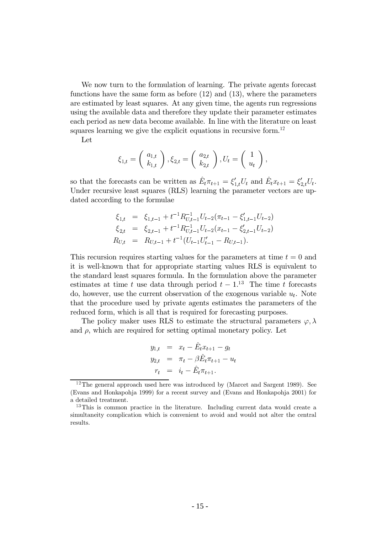We now turn to the formulation of learning. The private agents forecast functions have the same form as before  $(12)$  and  $(13)$ , where the parameters are estimated by least squares. At any given time, the agents run regressions using the available data and therefore they update their parameter estimates each period as new data become available. In line with the literature on least squares learning we give the explicit equations in recursive form.<sup>12</sup>

Let

$$
\xi_{1,t}=\left(\begin{array}{c} a_{1,t} \\ k_{1,t} \end{array}\right), \xi_{2,t}=\left(\begin{array}{c} a_{2,t} \\ k_{2,t} \end{array}\right), U_t=\left(\begin{array}{c} 1 \\ u_t \end{array}\right),
$$

so that the forecasts can be written as  $\hat{E}_t \pi_{t+1} = \xi'_{1,t} U_t$  and  $\hat{E}_t x_{t+1} = \xi'_{2,t} U_t$ . Under recursive least squares (RLS) learning the parameter vectors are updated according to the formulae

$$
\xi_{1,t} = \xi_{1,t-1} + t^{-1} R_{U,t-1}^{-1} U_{t-2} (\pi_{t-1} - \xi'_{1,t-1} U_{t-2})
$$
  
\n
$$
\xi_{2,t} = \xi_{2,t-1} + t^{-1} R_{U,t-1}^{-1} U_{t-2} (x_{t-1} - \xi'_{2,t-1} U_{t-2})
$$
  
\n
$$
R_{U,t} = R_{U,t-1} + t^{-1} (U_{t-1} U'_{t-1} - R_{U,t-1}).
$$

This recursion requires starting values for the parameters at time  $t = 0$  and it is well-known that for appropriate starting values RLS is equivalent to the standard least squares formula. In the formulation above the parameter estimates at time t use data through period  $t-1$ .<sup>13</sup> The time t forecasts do, however, use the current observation of the exogenous variable  $u_t$ . Note that the procedure used by private agents estimates the parameters of the reduced form, which is all that is required for forecasting purposes.

The policy maker uses RLS to estimate the structural parameters  $\varphi, \lambda$ and  $\rho$ , which are required for setting optimal monetary policy. Let

$$
y_{1,t} = x_t - \hat{E}_t x_{t+1} - g_t
$$
  
\n
$$
y_{2,t} = \pi_t - \beta \hat{E}_t \pi_{t+1} - u_t
$$
  
\n
$$
r_t = i_t - \hat{E}_t \pi_{t+1}.
$$

 $^{12}$ The general approach used here was introduced by (Marcet and Sargent 1989). See (Evans and Honkapohia 1999) for a recent survey and (Evans and Honkapohia 2001) for a detailed treatment.

 $^{13}$ This is common practice in the literature. Including current data would create a simultaneity complication which is convenient to avoid and would not alter the central results.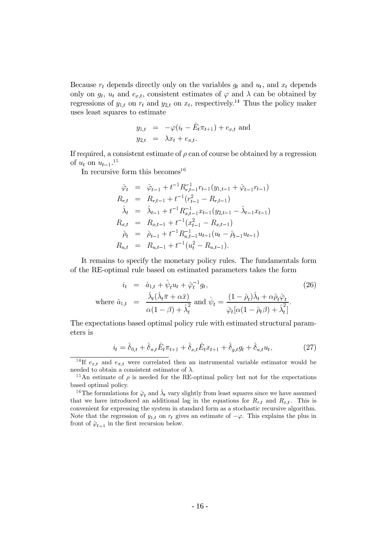Because  $r_t$  depends directly only on the variables  $q_t$  and  $u_t$ , and  $x_t$  depends only on  $g_t$ ,  $u_t$  and  $e_{x,t}$ , consistent estimates of  $\varphi$  and  $\lambda$  can be obtained by regressions of  $y_{1,t}$  on  $r_t$  and  $y_{2,t}$  on  $x_t$ , respectively.<sup>14</sup> Thus the policy maker uses least squares to estimate

$$
y_{1,t} = -\varphi(i_t - \hat{E}_t \pi_{t+1}) + e_{x,t} \text{ and}
$$
  

$$
y_{2,t} = \lambda x_t + e_{\pi,t}.
$$

If required, a consistent estimate of  $\rho$  can of course be obtained by a regression of  $u_t$  on  $u_{t-1}$ .<sup>15</sup>

In recursive form this becomes  $16$ 

$$
\hat{\varphi}_t = \hat{\varphi}_{t-1} + t^{-1} R_{r,t-1}^{-1} r_{t-1} (y_{1,t-1} + \hat{\varphi}_{t-1} r_{t-1})
$$
\n
$$
R_{r,t} = R_{r,t-1} + t^{-1} (r_{t-1}^2 - R_{r,t-1})
$$
\n
$$
\hat{\lambda}_t = \hat{\lambda}_{t-1} + t^{-1} R_{x,t-1}^{-1} x_{t-1} (y_{2,t-1} - \hat{\lambda}_{t-1} x_{t-1})
$$
\n
$$
R_{x,t} = R_{x,t-1} + t^{-1} (x_{t-1}^2 - R_{x,t-1})
$$
\n
$$
\hat{\rho}_t = \hat{\rho}_{t-1} + t^{-1} R_{u,t-1}^{-1} u_{t-1} (u_t - \hat{\rho}_{t-1} u_{t-1})
$$
\n
$$
R_{u,t} = R_{u,t-1} + t^{-1} (u_t^2 - R_{u,t-1}).
$$

It remains to specify the monetary policy rules. The fundamentals form of the RE-optimal rule based on estimated parameters takes the form

$$
i_t = \hat{a}_{1,t} + \hat{\psi}_t u_t + \hat{\varphi}_t^{-1} g_t,
$$
  
\nwhere  $\hat{a}_{1,t} = \frac{\hat{\lambda}_t (\hat{\lambda}_t \bar{\pi} + \alpha \bar{x})}{\alpha (1 - \beta) + \hat{\lambda}_t^2}$  and  $\hat{\psi}_t = \frac{(1 - \hat{\rho}_t) \hat{\lambda}_t + \alpha \hat{\rho}_t \hat{\varphi}_t}{\hat{\varphi}_t [\alpha (1 - \hat{\rho}_t \beta) + \hat{\lambda}_t^2]}.$  (26)

The expectations based optimal policy rule with estimated structural parameters is

$$
i_t = \hat{\delta}_{0,t} + \hat{\delta}_{\pi,t}\hat{E}_t \pi_{t+1} + \hat{\delta}_{x,t}\hat{E}_t x_{t+1} + \hat{\delta}_{g,t}g_t + \hat{\delta}_{u,t}u_t,
$$
 (27)

<sup>&</sup>lt;sup>14</sup>If  $e_{x,t}$  and  $e_{\pi,t}$  were correlated then an instrumental variable estimator would be needed to obtain a consistent estimator of  $\lambda$ .<br><sup>15</sup>An estimate of  $\rho$  is needed for the RE-optimal policy but not for the expectations

based optimal policy.

<sup>&</sup>lt;sup>16</sup>The formulations for  $\hat{\varphi}_t$  and  $\hat{\lambda}_t$  vary slightly from least squares since we have assumed that we have introduced an additional lag in the equations for  $R_{r,t}$  and  $R_{x,t}$ . This is convenient for expressing the system in standard form as a stochastic recursive algorithm. Note that the regression of  $y_{1,t}$  on  $r_t$  gives an estimate of  $-\varphi$ . This explains the plus in front of  $\hat{\varphi}_{t-1}$  in the first recursion below.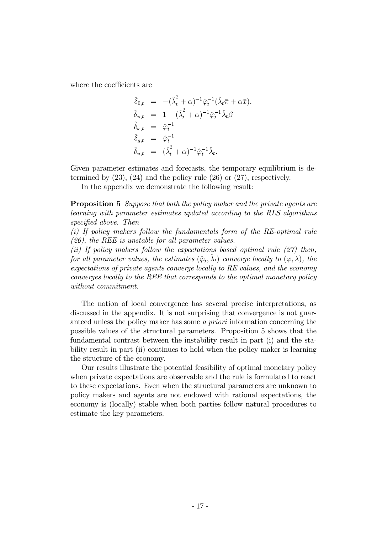where the coefficients are

$$
\hat{\delta}_{0,t} = -(\hat{\lambda}_t^2 + \alpha)^{-1} \hat{\varphi}_t^{-1} (\hat{\lambda}_t \bar{\pi} + \alpha \bar{x}),
$$
  
\n
$$
\hat{\delta}_{\pi,t} = 1 + (\hat{\lambda}_t^2 + \alpha)^{-1} \hat{\varphi}_t^{-1} \hat{\lambda}_t \beta
$$
  
\n
$$
\hat{\delta}_{x,t} = \hat{\varphi}_t^{-1}
$$
  
\n
$$
\hat{\delta}_{g,t} = \hat{\varphi}_t^{-1}
$$
  
\n
$$
\hat{\delta}_{u,t} = (\hat{\lambda}_t^2 + \alpha)^{-1} \hat{\varphi}_t^{-1} \hat{\lambda}_t.
$$

Given parameter estimates and forecasts, the temporary equilibrium is determined by  $(23)$ ,  $(24)$  and the policy rule  $(26)$  or  $(27)$ , respectively.

In the appendix we demonstrate the following result:

**Proposition 5** Suppose that both the policy maker and the private agents are learning with parameter estimates updated according to the RLS algorithms specified above. Then

 $(i)$  If policy makers follow the fundamentals form of the RE-optimal rule  $(26)$ , the REE is unstable for all parameter values.

(ii) If policy makers follow the expectations based optimal rule  $(27)$  then, for all parameter values, the estimates  $(\hat{\varphi}_t, \hat{\lambda}_t)$  converge locally to  $(\varphi, \lambda)$ , the expectations of private agents converge locally to RE values, and the economy converges locally to the REE that corresponds to the optimal monetary policy without commitment.

The notion of local convergence has several precise interpretations, as discussed in the appendix. It is not surprising that convergence is not guaranteed unless the policy maker has some a priori information concerning the possible values of the structural parameters. Proposition 5 shows that the fundamental contrast between the instability result in part (i) and the stability result in part (ii) continues to hold when the policy maker is learning the structure of the economy.

Our results illustrate the potential feasibility of optimal monetary policy when private expectations are observable and the rule is formulated to react to these expectations. Even when the structural parameters are unknown to policy makers and agents are not endowed with rational expectations, the economy is (locally) stable when both parties follow natural procedures to estimate the key parameters.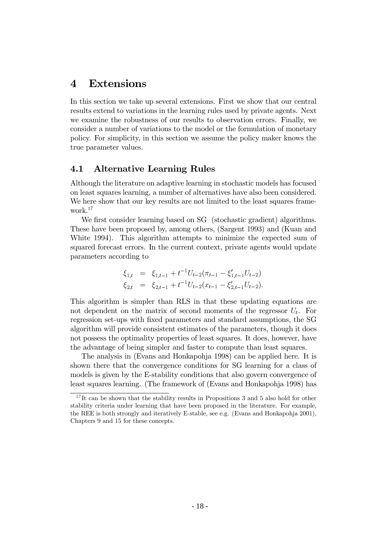## 4 Extensions

In this section we take up several extensions. First we show that our central results extend to variations in the learning rules used by private agents. Next we examine the robustness of our results to observation errors. Finally, we consider a number of variations to the model or the formulation of monetary policy. For simplicity, in this section we assume the policy maker knows the true parameter values.

### 4.1 Alternative Learning Rules

Although the literature on adaptive learning in stochastic models has focused on least squares learning, a number of alternatives have also been considered. We here show that our key results are not limited to the least squares framework. $17$ 

We first consider learning based on SG (stochastic gradient) algorithms. These have been proposed by, among others, (Sargent 1993) and (Kuan and White 1994). This algorithm attempts to minimize the expected sum of squared forecast errors. In the current context, private agents would update parameters according to

$$
\xi_{1,t} = \xi_{1,t-1} + t^{-1} U_{t-2} (\pi_{t-1} - \xi'_{1,t-1} U_{t-2})
$$
  
\n
$$
\xi_{2,t} = \xi_{2,t-1} + t^{-1} U_{t-2} (x_{t-1} - \xi'_{2,t-1} U_{t-2}).
$$

This algorithm is simpler than RLS in that these updating equations are not dependent on the matrix of second moments of the regressor  $U_t$ . For regression set-ups with fixed parameters and standard assumptions, the SG algorithm will provide consistent estimates of the parameters, though it does not possess the optimality properties of least squares. It does, however, have the advantage of being simpler and faster to compute than least squares.

The analysis in (Evans and Honkapohja 1998) can be applied here. It is shown there that the convergence conditions for SG learning for a class of models is given by the E-stability conditions that also govern convergence of least squares learning. (The framework of (Evans and Honkapohja 1998) has

 $^{17}$ It can be shown that the stability results in Propositions 3 and 5 also hold for other stability criteria under learning that have been proposed in the literature. For example, the REE is both strongly and iteratively E-stable, see e.g. (Evans and Honkapohja 2001), Chapters 9 and 15 for these concepts.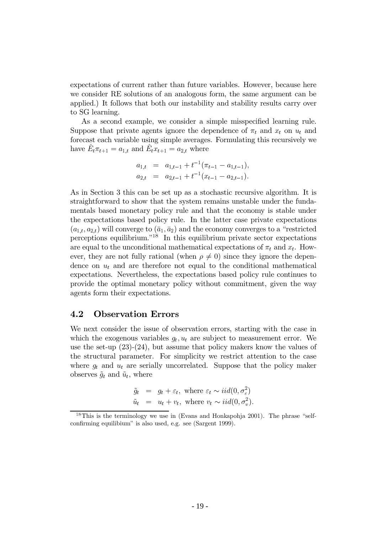expectations of current rather than future variables. However, because here we consider RE solutions of an analogous form, the same argument can be applied.) It follows that both our instability and stability results carry over to SG learning.

As a second example, we consider a simple misspecified learning rule. Suppose that private agents ignore the dependence of  $\pi_t$  and  $x_t$  on  $u_t$  and forecast each variable using simple averages. Formulating this recursively we have  $\hat{E}_t \pi_{t+1} = a_{1,t}$  and  $\hat{E}_t x_{t+1} = a_{2,t}$  where

$$
a_{1,t} = a_{1,t-1} + t^{-1}(\pi_{t-1} - a_{1,t-1}),
$$
  
\n
$$
a_{2,t} = a_{2,t-1} + t^{-1}(x_{t-1} - a_{2,t-1}).
$$

As in Section 3 this can be set up as a stochastic recursive algorithm. It is straightforward to show that the system remains unstable under the fundamentals based monetary policy rule and that the economy is stable under the expectations based policy rule. In the latter case private expectations  $(a_{1,t}, a_{2,t})$  will converge to  $(\bar{a}_1, \bar{a}_2)$  and the economy converges to a "restricted" perceptions equilibrium."<sup>18</sup> In this equilibrium private sector expectations are equal to the unconditional mathematical expectations of  $\pi_t$  and  $x_t$ . However, they are not fully rational (when  $\rho \neq 0$ ) since they ignore the dependence on  $u_t$  and are therefore not equal to the conditional mathematical expectations. Nevertheless, the expectations based policy rule continues to provide the optimal monetary policy without commitment, given the way agents form their expectations.

#### 4.2 **Observation Errors**

We next consider the issue of observation errors, starting with the case in which the exogenous variables  $g_t, u_t$  are subject to measurement error. We use the set-up  $(23)-(24)$ , but assume that policy makers know the values of the structural parameter. For simplicity we restrict attention to the case where  $g_t$  and  $u_t$  are serially uncorrelated. Suppose that the policy maker observes  $\tilde{g}_t$  and  $\tilde{u}_t$ , where

$$
\tilde{g}_t = g_t + \varepsilon_t, \text{ where } \varepsilon_t \sim \text{iid}(0, \sigma_{\varepsilon}^2)
$$
\n
$$
\tilde{u}_t = u_t + v_t, \text{ where } v_t \sim \text{iid}(0, \sigma_v^2).
$$

<sup>&</sup>lt;sup>18</sup>This is the terminology we use in (Evans and Honkapohja 2001). The phrase "selfconfirming equilibium" is also used, e.g. see (Sargent 1999).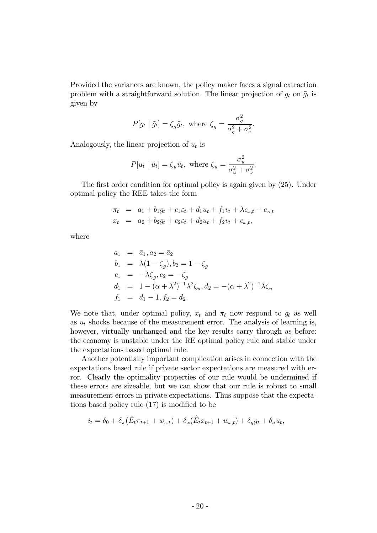Provided the variances are known, the policy maker faces a signal extraction problem with a straightforward solution. The linear projection of  $g_t$  on  $\tilde{g}_t$  is given by

$$
P[g_t | \tilde{g}_t] = \zeta_g \tilde{g}_t, \text{ where } \zeta_g = \frac{\sigma_g^2}{\sigma_g^2 + \sigma_\varepsilon^2}
$$

Analogously, the linear projection of  $u_t$  is

$$
P[u_t | \tilde{u}_t] = \zeta_u \tilde{u}_t, \text{ where } \zeta_u = \frac{\sigma_u^2}{\sigma_u^2 + \sigma_v^2}.
$$

The first order condition for optimal policy is again given by  $(25)$ . Under optimal policy the REE takes the form

$$
\pi_t = a_1 + b_1 g_t + c_1 \varepsilon_t + d_1 u_t + f_1 v_t + \lambda e_{x,t} + e_{\pi,t}
$$
  

$$
x_t = a_2 + b_2 g_t + c_2 \varepsilon_t + d_2 u_t + f_2 v_t + e_{x,t},
$$

where

$$
a_1 = \bar{a}_1, a_2 = \bar{a}_2
$$
  
\n
$$
b_1 = \lambda(1 - \zeta_g), b_2 = 1 - \zeta_g
$$
  
\n
$$
c_1 = -\lambda \zeta_g, c_2 = -\zeta_g
$$
  
\n
$$
d_1 = 1 - (\alpha + \lambda^2)^{-1} \lambda^2 \zeta_u, d_2 = -(\alpha + \lambda^2)^{-1} \lambda \zeta_u
$$
  
\n
$$
f_1 = d_1 - 1, f_2 = d_2.
$$

We note that, under optimal policy,  $x_t$  and  $\pi_t$  now respond to  $g_t$  as well as  $u_t$  shocks because of the measurement error. The analysis of learning is, however, virtually unchanged and the key results carry through as before: the economy is unstable under the RE optimal policy rule and stable under the expectations based optimal rule.

Another potentially important complication arises in connection with the expectations based rule if private sector expectations are measured with error. Clearly the optimality properties of our rule would be undermined if these errors are sizeable, but we can show that our rule is robust to small measurement errors in private expectations. Thus suppose that the expectations based policy rule (17) is modified to be

$$
i_t = \delta_0 + \delta_\pi (E_t \pi_{t+1} + w_{\pi,t}) + \delta_x (E_t x_{t+1} + w_{x,t}) + \delta_g g_t + \delta_u u_t,
$$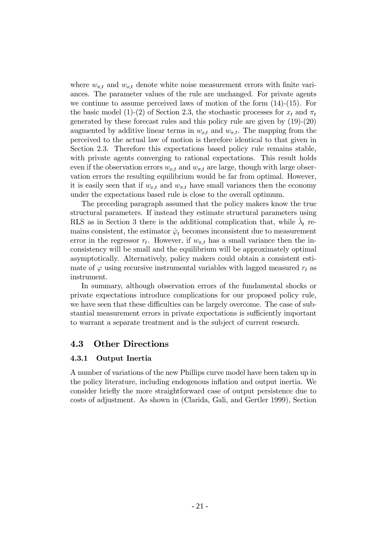where  $w_{\pi,t}$  and  $w_{x,t}$  denote white noise measurement errors with finite variances. The parameter values of the rule are unchanged. For private agents we continue to assume perceived laws of motion of the form  $(14)-(15)$ . For the basic model (1)-(2) of Section 2.3, the stochastic processes for  $x_t$  and  $\pi_t$ generated by these forecast rules and this policy rule are given by  $(19)-(20)$ augmented by additive linear terms in  $w_{x,t}$  and  $w_{\pi,t}$ . The mapping from the perceived to the actual law of motion is therefore identical to that given in Section 2.3. Therefore this expectations based policy rule remains stable. with private agents converging to rational expectations. This result holds even if the observation errors  $w_{x,t}$  and  $w_{\pi,t}$  are large, though with large observation errors the resulting equilibrium would be far from optimal. However, it is easily seen that if  $w_{x,t}$  and  $w_{\pi,t}$  have small variances then the economy under the expectations based rule is close to the overall optimum.

The preceding paragraph assumed that the policy makers know the true structural parameters. If instead they estimate structural parameters using RLS as in Section 3 there is the additional complication that, while  $\lambda_t$  remains consistent, the estimator  $\hat{\varphi}_t$  becomes inconsistent due to measurement error in the regressor  $r_t$ . However, if  $w_{\pi,t}$  has a small variance then the inconsistency will be small and the equilibrium will be approximately optimal asymptotically. Alternatively, policy makers could obtain a consistent estimate of  $\varphi$  using recursive instrumental variables with lagged measured  $r_t$  as instrument.

In summary, although observation errors of the fundamental shocks or private expectations introduce complications for our proposed policy rule, we have seen that these difficulties can be largely overcome. The case of substantial measurement errors in private expectations is sufficiently important to warrant a separate treatment and is the subject of current research.

### 4.3 Other Directions

#### 4.3.1 Output Inertia

A number of variations of the new Phillips curve model have been taken up in the policy literature, including endogenous inflation and output inertia. We consider briefly the more straightforward case of output persistence due to fraces of adjustment. As shown in (Clarida, Gali, and Gertler 1999), Section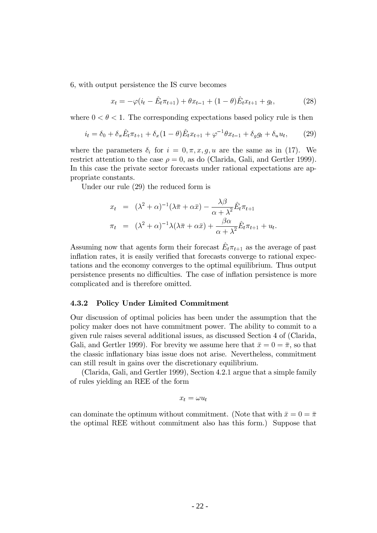6, with output persistence the IS curve becomes

$$
x_t = -\varphi(i_t - \hat{E}_t \pi_{t+1}) + \theta x_{t-1} + (1 - \theta)\hat{E}_t x_{t+1} + g_t,
$$
\n(28)

where  $0 < \theta < 1$ . The corresponding expectations based policy rule is then

$$
i_t = \delta_0 + \delta_\pi \hat{E}_t \pi_{t+1} + \delta_x (1 - \theta) \hat{E}_t x_{t+1} + \varphi^{-1} \theta x_{t-1} + \delta_g g_t + \delta_u u_t, \tag{29}
$$

where the parameters  $\delta_i$  for  $i = 0, \pi, x, g, u$  are the same as in (17). We restrict attention to the case  $\rho = 0$ , as do (Clarida, Gali, and Gertler 1999). In this case the private sector forecasts under rational expectations are appropriate constants.

Under our rule  $(29)$  the reduced form is

$$
x_t = (\lambda^2 + \alpha)^{-1} (\lambda \overline{\pi} + \alpha \overline{x}) - \frac{\lambda \beta}{\alpha + \lambda^2} \hat{E}_t \pi_{t+1}
$$
  

$$
\pi_t = (\lambda^2 + \alpha)^{-1} \lambda (\lambda \overline{\pi} + \alpha \overline{x}) + \frac{\beta \alpha}{\alpha + \lambda^2} \hat{E}_t \pi_{t+1} + u_t.
$$

Assuming now that agents form their forecast  $\hat{E}_t \pi_{t+1}$  as the average of past inflation rates, it is easily verified that forecasts converge to rational expectations and the economy converges to the optimal equilibrium. Thus output persistence presents no difficulties. The case of inflation persistence is more complicated and is therefore omitted.

#### 4.3.2 **Policy Under Limited Commitment**

Our discussion of optimal policies has been under the assumption that the policy maker does not have commitment power. The ability to commit to a given rule raises several additional issues, as discussed Section 4 of (Clarida, Gali, and Gertler 1999). For brevity we assume here that  $\bar{x} = 0 = \bar{\pi}$ , so that the classic inflationary bias issue does not arise. Nevertheless, commitment can still result in gains over the discretionary equilibrium.

(Clarida, Gali, and Gertler 1999), Section 4.2.1 argue that a simple family of rules yielding an REE of the form

$$
x_t = \omega u_t
$$

can dominate the optimum without commitment. (Note that with  $\bar{x} = 0 = \bar{\pi}$ the optimal REE without commitment also has this form.) Suppose that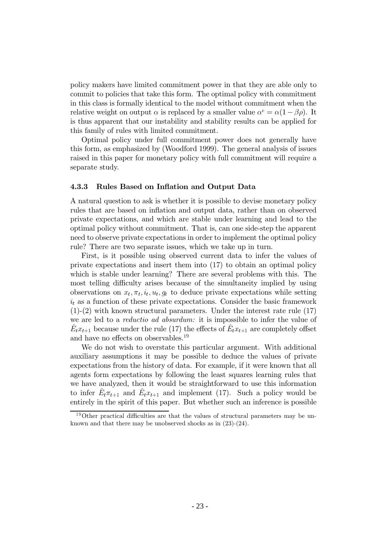policy makers have limited commitment power in that they are able only to commit to policies that take this form. The optimal policy with commitment in this class is formally identical to the model without commitment when the relative weight on output  $\alpha$  is replaced by a smaller value  $\alpha^c = \alpha(1 - \beta \rho)$ . It is thus apparent that our instability and stability results can be applied for this family of rules with limited commitment.

Optimal policy under full commitment power does not generally have this form, as emphasized by (Woodford 1999). The general analysis of issues raised in this paper for monetary policy with full commitment will require a separate study.

#### 4.3.3 Rules Based on Inflation and Output Data

A natural question to ask is whether it is possible to devise monetary policy rules that are based on inflation and output data, rather than on observed private expectations, and which are stable under learning and lead to the optimal policy without commitment. That is, can one side-step the apparent need to observe private expectations in order to implement the optimal policy rule? There are two separate issues, which we take up in turn.

First, is it possible using observed current data to infer the values of private expectations and insert them into  $(17)$  to obtain an optimal policy which is stable under learning? There are several problems with this. The most telling difficulty arises because of the simultaneity implied by using observations on  $x_t, \pi_t, i_t, u_t, q_t$  to deduce private expectations while setting  $i_t$  as a function of these private expectations. Consider the basic framework  $(1)-(2)$  with known structural parameters. Under the interest rate rule  $(17)$ we are led to a *reductio ad absurdum*: it is impossible to infer the value of  $\hat{E}_t x_{t+1}$  because under the rule (17) the effects of  $\hat{E}_t x_{t+1}$  are completely offset and have no effects on observables.<sup>19</sup>

We do not wish to overstate this particular argument. With additional auxiliary assumptions it may be possible to deduce the values of private expectations from the history of data. For example, if it were known that all agents form expectations by following the least squares learning rules that we have analyzed, then it would be straightforward to use this information to infer  $E_t \pi_{t+1}$  and  $E_t x_{t+1}$  and implement (17). Such a policy would be entirely in the spirit of this paper. But whether such an inference is possible

 $^{19}$ Other practical difficulties are that the values of structural parameters may be unknown and that there may be unobserved shocks as in  $(23)-(24)$ .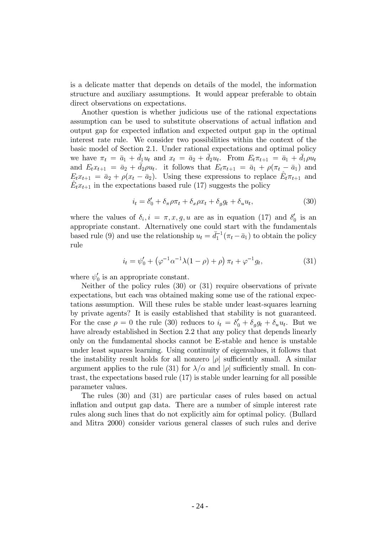is a delicate matter that depends on details of the model, the information structure and auxiliary assumptions. It would appear preferable to obtain direct observations on expectations.

Another question is whether judicious use of the rational expectations assumption can be used to substitute observations of actual inflation and output gap for expected inflation and expected output gap in the optimal interest rate rule. We consider two possibilities within the context of the basic model of Section 2.1. Under rational expectations and optimal policy we have  $\pi_t = \bar{a}_1 + \bar{d}_1 u_t$  and  $x_t = \bar{a}_2 + \bar{d}_2 u_t$ . From  $E_t \pi_{t+1} = \bar{a}_1 + \bar{d}_1 \rho u_t$ and  $E_t x_{t+1} = \bar{a}_2 + \bar{d}_2 \rho u_t$ . it follows that  $E_t \pi_{t+1} = \bar{a}_1 + \rho (\pi_t - \bar{a}_1)$  and  $E_t x_{t+1} = \bar{a}_2 + \rho (x_t - \bar{a}_2)$ . Using these expressions to replace  $E_t \pi_{t+1}$  and  $E_t x_{t+1}$  in the expectations based rule (17) suggests the policy

$$
i_t = \delta'_0 + \delta_\pi \rho \pi_t + \delta_x \rho x_t + \delta_g g_t + \delta_u u_t, \tag{30}
$$

where the values of  $\delta_i$ ,  $i = \pi, x, g, u$  are as in equation (17) and  $\delta'_0$  is an appropriate constant. Alternatively one could start with the fundamentals based rule (9) and use the relationship  $u_t = \bar{d}_1^{-1}(\pi_t - \bar{a}_1)$  to obtain the policy rule

$$
i_t = \psi'_0 + (\varphi^{-1} \alpha^{-1} \lambda (1 - \rho) + \rho) \pi_t + \varphi^{-1} g_t,
$$
 (31)

where  $\psi'_0$  is an appropriate constant.

Neither of the policy rules  $(30)$  or  $(31)$  require observations of private expectations, but each was obtained making some use of the rational expectations assumption. Will these rules be stable under least-squares learning by private agents? It is easily established that stability is not guaranteed. For the case  $\rho = 0$  the rule (30) reduces to  $i_t = \delta'_0 + \delta_g g_t + \delta_u u_t$ . But we have already established in Section 2.2 that any policy that depends linearly only on the fundamental shocks cannot be E-stable and hence is unstable under least squares learning. Using continuity of eigenvalues, it follows that the instability result holds for all nonzero  $|\rho|$  sufficiently small. A similar argument applies to the rule (31) for  $\lambda/\alpha$  and  $|\rho|$  sufficiently small. In contrast, the expectations based rule  $(17)$  is stable under learning for all possible parameter values.

The rules  $(30)$  and  $(31)$  are particular cases of rules based on actual inflation and output gap data. There are a number of simple interest rate rules along such lines that do not explicitly aim for optimal policy. (Bullard and Mitra 2000) consider various general classes of such rules and derive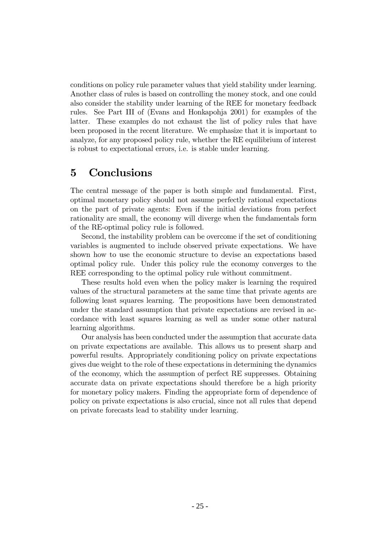fragment conditions on policy rule parameter values that yield stability under learning. Another class of rules is based on controlling the money stock, and one could also consider the stability under learning of the REE for monetary feedback rules. See Part III of (Evans and Honkapohja 2001) for examples of the latter. These examples do not exhaust the list of policy rules that have been proposed in the recent literature. We emphasize that it is important to analyze, for any proposed policy rule, whether the RE equilibrium of interest is robust to expectational errors, i.e. is stable under learning.

## 5 Conclusions

The central message of the paper is both simple and fundamental. First, optimal monetary policy should not assume perfectly rational expectations on the part of private agents: Even if the initial deviations from perfect rationality are small, the economy will diverge when the fundamentals form of the RE-optimal policy rule is followed.

Second, the instability problem can be overcome if the set of conditioning variables is augmented to include observed private expectations. We have shown how to use the economic structure to devise an expectations based optimal policy rule. Under this policy rule the economy converges to the REE corresponding to the optimal policy rule without commitment.

These results hold even when the policy maker is learning the required values of the structural parameters at the same time that private agents are following least squares learning. The propositions have been demonstrated under the standard assumption that private expectations are revised in accordance with least squares learning as well as under some other natural learning algorithms.

Our analysis has been conducted under the assumption that accurate data on private expectations are available. This allows us to present sharp and powerful results. Appropriately conditioning policy on private expectations gives due weight to the role of these expectations in determining the dynamics of the economy, which the assumption of perfect RE suppresses. Obtaining accurate data on private expectations should therefore be a high priority for monetary policy makers. Finding the appropriate form of dependence of policy on private expectations is also crucial, since not all rules that depend on private forecasts lead to stability under learning.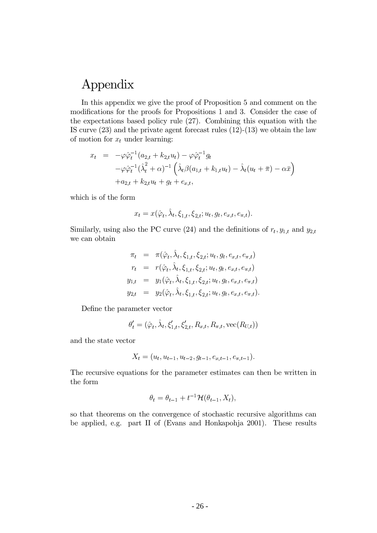# Appendix

In this appendix we give the proof of Proposition 5 and comment on the modifications for the proofs for Propositions 1 and 3. Consider the case of the expectations based policy rule  $(27)$ . Combining this equation with the IS curve  $(23)$  and the private agent forecast rules  $(12)-(13)$  we obtain the law of motion for  $x_t$  under learning:

$$
x_t = -\varphi \hat{\varphi}_t^{-1} (a_{2,t} + k_{2,t} u_t) - \varphi \hat{\varphi}_t^{-1} g_t - \varphi \hat{\varphi}_t^{-1} (\hat{\lambda}_t^2 + \alpha)^{-1} \left( \hat{\lambda}_t \beta (a_{1,t} + k_{1,t} u_t) - \hat{\lambda}_t (u_t + \bar{\pi}) - \alpha \bar{x} \right) + a_{2,t} + k_{2,t} u_t + g_t + e_{x,t},
$$

which is of the form

$$
x_t = x(\hat{\varphi}_t, \hat{\lambda}_t, \xi_{1,t}, \xi_{2,t}; u_t, g_t, e_{x,t}, e_{\pi,t}).
$$

Similarly, using also the PC curve (24) and the definitions of  $r_t, y_{1,t}$  and  $y_{2,t}$ we can obtain

$$
\pi_t = \pi(\hat{\varphi}_t, \hat{\lambda}_t, \xi_{1,t}, \xi_{2,t}; u_t, g_t, e_{x,t}, e_{\pi,t})
$$
\n
$$
r_t = r(\hat{\varphi}_t, \hat{\lambda}_t, \xi_{1,t}, \xi_{2,t}; u_t, g_t, e_{x,t}, e_{\pi,t})
$$
\n
$$
y_{1,t} = y_1(\hat{\varphi}_t, \hat{\lambda}_t, \xi_{1,t}, \xi_{2,t}; u_t, g_t, e_{x,t}, e_{\pi,t})
$$
\n
$$
y_{2,t} = y_2(\hat{\varphi}_t, \hat{\lambda}_t, \xi_{1,t}, \xi_{2,t}; u_t, g_t, e_{x,t}, e_{\pi,t}).
$$

Define the parameter vector

$$
\theta'_t = (\hat{\varphi}_t, \hat{\lambda}_t, \xi'_{1,t}, \xi'_{2,t}, R_{x,t}, R_{\pi,t}, \text{vec}(R_{U,t}))
$$

and the state vector

$$
X_t = (u_t, u_{t-1}, u_{t-2}, g_{t-1}, e_{x,t-1}, e_{\pi, t-1}).
$$

The recursive equations for the parameter estimates can then be written in the form

$$
\theta_t = \theta_{t-1} + t^{-1} \mathcal{H}(\theta_{t-1}, X_t),
$$

so that theorems on the convergence of stochastic recursive algorithms can be applied, e.g. part II of (Evans and Honkapohja 2001). These results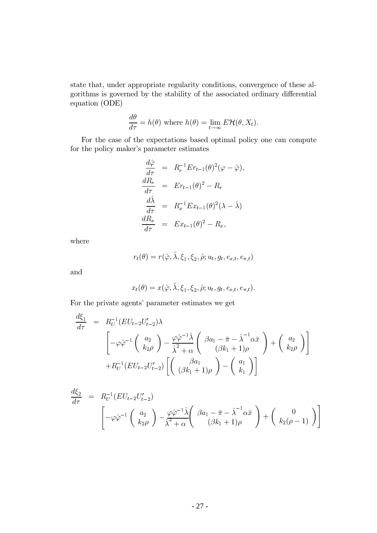state that, under appropriate regularity conditions, convergence of these algorithms is governed by the stability of the associated ordinary differential equation (ODE)

$$
\frac{d\theta}{d\tau} = h(\theta) \text{ where } h(\theta) = \lim_{t \to \infty} E\mathcal{H}(\theta, X_t).
$$

For the case of the expectations based optimal policy one can compute for the policy maker's parameter estimates

$$
\frac{d\hat{\varphi}}{d\tau} = R_r^{-1} E r_{t-1}(\theta)^2 (\varphi - \hat{\varphi}),
$$
  
\n
$$
\frac{dR_r}{d\tau} = E r_{t-1}(\theta)^2 - R_r
$$
  
\n
$$
\frac{d\hat{\lambda}}{d\tau} = R_x^{-1} E x_{t-1}(\theta)^2 (\lambda - \hat{\lambda})
$$
  
\n
$$
\frac{dR_x}{d\tau} = E x_{t-1}(\theta)^2 - R_x,
$$

where

$$
r_t(\theta) = r(\hat{\varphi}, \hat{\lambda}, \xi_1, \xi_2, \hat{\rho}; u_t, g_t, e_{x,t}, e_{\pi,t})
$$

and

$$
x_t(\theta) = x(\hat{\varphi}, \hat{\lambda}, \xi_1, \xi_2, \hat{\rho}; u_t, g_t, e_{x,t}, e_{\pi,t}).
$$

For the private agents' parameter estimates we get

$$
\frac{d\xi_1}{d\tau} = R_U^{-1}(EU_{t-2}U'_{t-2})\lambda
$$
\n
$$
\begin{bmatrix}\n-\varphi \hat{\varphi}^{-1}\left(\begin{array}{c} a_2\\ k_2 \rho \end{array}\right) - \frac{\varphi \hat{\varphi}^{-1} \hat{\lambda}}{\hat{\lambda}^2 + \alpha} \left(\begin{array}{c} \beta a_1 - \bar{\pi} - \hat{\lambda}^{-1} \alpha \bar{x} \\ (\beta k_1 + 1) \rho \end{array}\right) + \left(\begin{array}{c} a_2\\ k_2 \rho \end{array}\right)\n\end{bmatrix}
$$
\n
$$
+ R_U^{-1}(EU_{t-2}U'_{t-2}) \left[ \left(\begin{array}{c} \beta a_1\\ (\beta k_1 + 1) \rho \end{array}\right) - \left(\begin{array}{c} a_1\\ k_1 \end{array}\right) \right]
$$

$$
\frac{d\xi_2}{d\tau} = R_U^{-1}(EU_{t-2}U'_{t-2})
$$
\n
$$
\left[ -\varphi \hat{\varphi}^{-1} \left( \begin{array}{c} a_2 \\ k_2 \rho \end{array} \right) - \frac{\varphi \hat{\varphi}^{-1} \hat{\lambda}}{\hat{\lambda}^2 + \alpha} \left( \begin{array}{c} \beta a_1 - \bar{\pi} - \hat{\lambda}^{-1} \alpha \bar{x} \\ (\beta k_1 + 1) \rho \end{array} \right) + \left( \begin{array}{c} 0 \\ k_2 (\rho - 1) \end{array} \right) \right]
$$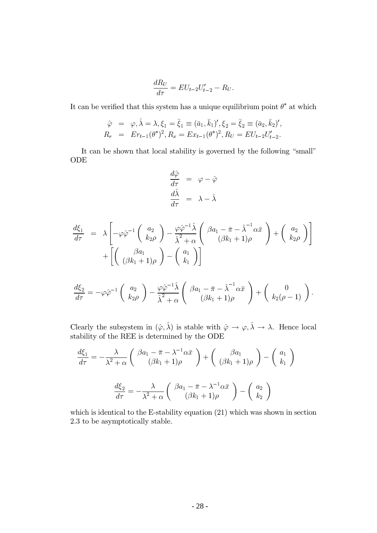$$
\frac{dR_U}{d\tau} = EU_{t-2}U'_{t-2} - R_U
$$

It can be verified that this system has a unique equilibrium point  $\theta^*$  at which

$$
\hat{\varphi} = \varphi, \hat{\lambda} = \lambda, \xi_1 = \bar{\xi}_1 \equiv (\bar{a}_1, \bar{k}_1)', \xi_2 = \bar{\xi}_2 \equiv (\bar{a}_2, \bar{k}_2)',
$$
  
\n
$$
R_r = Er_{t-1}(\theta^*)^2, R_x = Ex_{t-1}(\theta^*)^2, R_y = EU_{t-2}U'_{t-2}.
$$

It can be shown that local stability is governed by the following "small" ODE

$$
\frac{d\hat{\varphi}}{d\tau} = \varphi - \hat{\varphi}
$$

$$
\frac{d\hat{\lambda}}{d\tau} = \lambda - \hat{\lambda}
$$

$$
\frac{d\xi_1}{d\tau} = \lambda \left[ -\varphi \hat{\varphi}^{-1} \begin{pmatrix} a_2 \\ k_2 \rho \end{pmatrix} - \frac{\varphi \hat{\varphi}^{-1} \hat{\lambda}}{\hat{\lambda}^2 + \alpha} \begin{pmatrix} \beta a_1 - \bar{\pi} - \hat{\lambda}^{-1} \alpha \bar{x} \\ (\beta k_1 + 1) \rho \end{pmatrix} + \begin{pmatrix} a_2 \\ k_2 \rho \end{pmatrix} \right] + \left[ \begin{pmatrix} \beta a_1 \\ (\beta k_1 + 1) \rho \end{pmatrix} - \begin{pmatrix} a_1 \\ k_1 \end{pmatrix} \right]
$$

$$
\frac{d\xi_2}{d\tau} = -\varphi \hat{\varphi}^{-1} \begin{pmatrix} a_2 \\ k_2 \rho \end{pmatrix} - \frac{\varphi \hat{\varphi}^{-1} \hat{\lambda}}{\hat{\lambda}^2 + \alpha} \begin{pmatrix} \beta a_1 - \bar{\pi} - \hat{\lambda}^{-1} \alpha \bar{x} \\ (\beta k_1 + 1) \rho \end{pmatrix} + \begin{pmatrix} 0 \\ k_2 (\rho - 1) \end{pmatrix}.
$$

Clearly the subsystem in  $(\hat{\varphi}, \hat{\lambda})$  is stable with  $\hat{\varphi} \to \varphi, \hat{\lambda} \to \lambda$ . Hence local stability of the REE is determined by the ODE

$$
\frac{d\xi_1}{d\tau} = -\frac{\lambda}{\lambda^2 + \alpha} \left( \begin{array}{c} \beta a_1 - \bar{\pi} - \lambda^{-1} \alpha \bar{x} \\ (\beta k_1 + 1) \rho \end{array} \right) + \left( \begin{array}{c} \beta a_1 \\ (\beta k_1 + 1) \rho \end{array} \right) - \left( \begin{array}{c} a_1 \\ k_1 \end{array} \right)
$$

$$
\frac{d\xi_2}{d\tau} = -\frac{\lambda}{\lambda^2 + \alpha} \left( \begin{array}{c} \beta a_1 - \bar{\pi} - \lambda^{-1} \alpha \bar{x} \\ (\beta k_1 + 1) \rho \end{array} \right) - \left( \begin{array}{c} a_2 \\ k_2 \end{array} \right)
$$

which is identical to the E-stability equation  $(21)$  which was shown in section 2.3 to be asymptotically stable.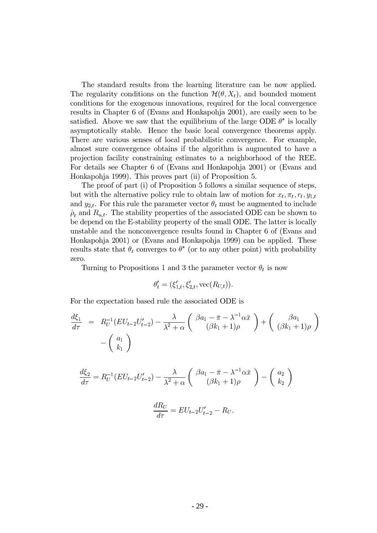The standard results from the learning literature can be now applied. The regularity conditions on the function  $\mathcal{H}(\theta, X_t)$ , and bounded moment conditions for the exogenous innovations, required for the local convergence results in Chapter 6 of (Evans and Honkapohja 2001), are easily seen to be satisfied. Above we saw that the equilibrium of the large ODE  $\theta^*$  is locally asymptotically stable. Hence the basic local convergence theorems apply. There are various senses of local probabilistic convergence. For example, almost sure convergence obtains if the algorithm is augmented to have a projection facility constraining estimates to a neighborhood of the REE. For details see Chapter 6 of (Evans and Honkapohja 2001) or (Evans and Honkapohja 1999). This proves part (ii) of Proposition 5.

The proof of part (i) of Proposition 5 follows a similar sequence of steps, but with the alternative policy rule to obtain law of motion for  $x_t, \pi_t, r_t, y_{1,t}$ and  $y_{2,t}$ . For this rule the parameter vector  $\theta_t$  must be augmented to include  $\hat{\rho}_t$  and  $R_{u,t}$ . The stability properties of the associated ODE can be shown to be depend on the E-stability property of the small ODE. The latter is locally unstable and the nonconvergence results found in Chapter 6 of (Evans and Honkapohja 2001) or (Evans and Honkapohja 1999) can be applied. These results state that  $\theta_t$  converges to  $\theta^*$  (or to any other point) with probability zero.

Turning to Propositions 1 and 3 the parameter vector  $\theta_t$  is now

$$
\theta'_{t} = (\xi'_{1,t}, \xi'_{2,t}, \text{vec}(R_{U,t})).
$$

For the expectation based rule the associated ODE is

$$
\frac{d\xi_1}{d\tau} = R_U^{-1}(EU_{t-2}U'_{t-2}) - \frac{\lambda}{\lambda^2 + \alpha} \left( \begin{array}{c} \beta a_1 - \bar{\pi} - \lambda^{-1} \alpha \bar{x} \\ (\beta k_1 + 1) \rho \end{array} \right) + \left( \begin{array}{c} \beta a_1 \\ (\beta k_1 + 1) \rho \end{array} \right) - \left( \begin{array}{c} a_1 \\ k_1 \end{array} \right)
$$

$$
\frac{d\xi_2}{d\tau} = R_U^{-1}(EU_{t-2}U'_{t-2}) - \frac{\lambda}{\lambda^2 + \alpha} \left( \begin{array}{c} \beta a_1 - \bar{\pi} - \lambda^{-1} \alpha \bar{x} \\ (\beta k_1 + 1) \rho \end{array} \right) - \left( \begin{array}{c} a_2 \\ k_2 \end{array} \right)
$$

$$
\frac{dR_U}{d\tau}=EU_{t-2}U'_{t-2}-R_U.
$$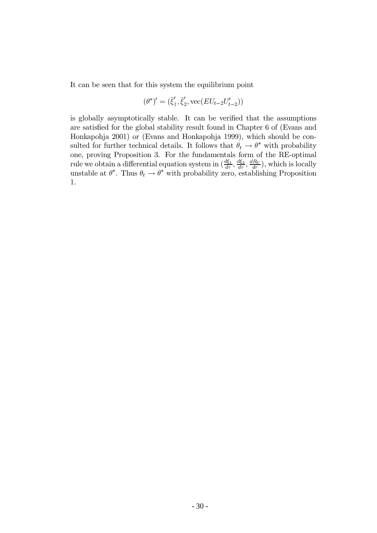It can be seen that for this system the equilibrium point

$$
(\theta^*)' = (\bar{\xi}'_1, \bar{\xi}'_2, \text{vec}(EU_{t-2}U'_{t-2}))
$$

is globally asymptotically stable. It can be verified that the assumptions are satisfied for the global stability result found in Chapter 6 of (Evans and Honkapohja 2001) or (Evans and Honkapohja 1999), which should be consulted for further technical details. It follows that  $\theta_t \to \theta^*$  with probability one, proving Proposition 3. For the fundamentals form of the RE-optimal rule we obtain a differential equation system in  $(\frac{d\xi_1}{d\tau}, \frac{d\xi_2}{d\tau}, \frac{dR_U}{d\tau})$ , which is locally<br>unstable at  $\theta^*$ . Thus  $\theta_t \to \theta^*$  with probability zero, establishing Proposition 1.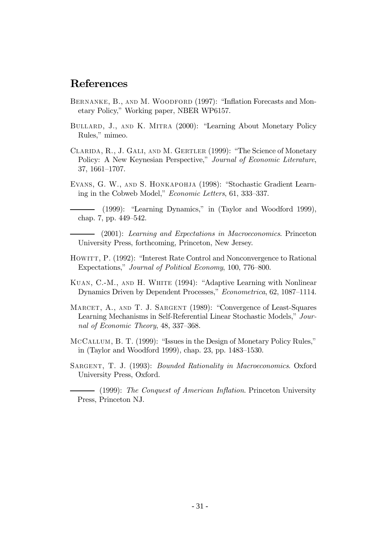## References

- BERNANKE, B., AND M. WOODFORD (1997): "Inflation Forecasts and Monetary Policy," Working paper, NBER WP6157.
- BULLARD, J., AND K. MITRA (2000): "Learning About Monetary Policy Rules," mimeo.
- CLARIDA, R., J. GALI, AND M. GERTLER (1999): "The Science of Monetary Policy: A New Keynesian Perspective," Journal of Economic Literature, 37, 1661-1707.
- EVANS, G. W., AND S. HONKAPOHJA (1998): "Stochastic Gradient Learning in the Cobweb Model," *Economic Letters*, 61, 333–337.

 $(1999)$ : "Learning Dynamics," in (Taylor and Woodford 1999), chap. 7, pp. 449–542.

 $-$  (2001): Learning and Expectations in Macroeconomics. Princeton University Press, forthcoming, Princeton, New Jersey.

- HOWITT, P. (1992): "Interest Rate Control and Nonconvergence to Rational Expectations," Journal of Political Economy, 100, 776–800.
- KUAN, C.-M., AND H. WHITE (1994): "Adaptive Learning with Nonlinear Dynamics Driven by Dependent Processes," Econometrica, 62, 1087–1114.
- MARCET, A., AND T. J. SARGENT (1989): "Convergence of Least-Squares Learning Mechanisms in Self-Referential Linear Stochastic Models," Journal of Economic Theory,  $48, 337-368$ .
- MCCALLUM, B. T. (1999): "Issues in the Design of Monetary Policy Rules," in (Taylor and Woodford 1999), chap. 23, pp.  $1483-1530$ .
- SARGENT, T. J. (1993): *Bounded Rationality in Macroeconomics*. Oxford University Press, Oxford.

 $-$  (1999): The Conquest of American Inflation. Princeton University Press, Princeton NJ.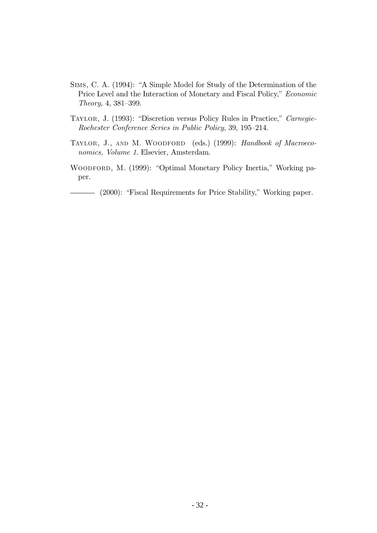- SIMS, C. A. (1994): "A Simple Model for Study of the Determination of the Price Level and the Interaction of Monetary and Fiscal Policy," Economic Theory, 4, 381-399.
- TAYLOR, J. (1993): "Discretion versus Policy Rules in Practice," Carnegie-Rochester Conference Series in Public Policy, 39, 195–214.
- TAYLOR, J., AND M. WOODFORD (eds.) (1999): Handbook of Macroeconomics, Volume 1. Elsevier, Amsterdam.
- WOODFORD, M. (1999): "Optimal Monetary Policy Inertia," Working paper.

- (2000): "Fiscal Requirements for Price Stability," Working paper.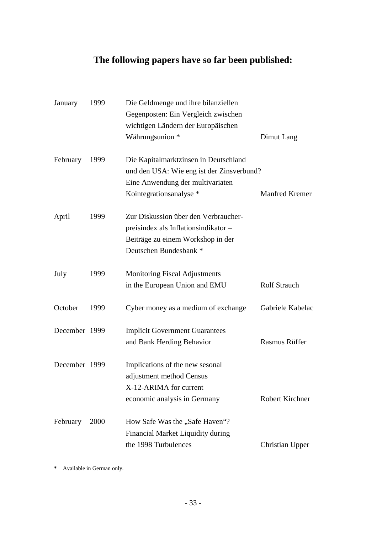# **The following papers have so far been published:**

| January       | 1999 | Die Geldmenge und ihre bilanziellen       |                       |
|---------------|------|-------------------------------------------|-----------------------|
|               |      | Gegenposten: Ein Vergleich zwischen       |                       |
|               |      | wichtigen Ländern der Europäischen        |                       |
|               |      | Währungsunion *                           | Dimut Lang            |
| February      | 1999 | Die Kapitalmarktzinsen in Deutschland     |                       |
|               |      | und den USA: Wie eng ist der Zinsverbund? |                       |
|               |      | Eine Anwendung der multivariaten          |                       |
|               |      | Kointegrations analyse *                  | <b>Manfred Kremer</b> |
| April         | 1999 | Zur Diskussion über den Verbraucher-      |                       |
|               |      | preisindex als Inflationsindikator-       |                       |
|               |      | Beiträge zu einem Workshop in der         |                       |
|               |      | Deutschen Bundesbank <sup>*</sup>         |                       |
| July          | 1999 | <b>Monitoring Fiscal Adjustments</b>      |                       |
|               |      | in the European Union and EMU             | <b>Rolf Strauch</b>   |
| October       | 1999 | Cyber money as a medium of exchange       | Gabriele Kabelac      |
| December 1999 |      | <b>Implicit Government Guarantees</b>     |                       |
|               |      | and Bank Herding Behavior                 | <b>Rasmus Rüffer</b>  |
| December 1999 |      | Implications of the new sesonal           |                       |
|               |      | adjustment method Census                  |                       |
|               |      | X-12-ARIMA for current                    |                       |
|               |      | economic analysis in Germany              | Robert Kirchner       |
| February      | 2000 | How Safe Was the "Safe Haven"?            |                       |
|               |      | Financial Market Liquidity during         |                       |
|               |      | the 1998 Turbulences                      | Christian Upper       |

**\*** Available in German only.